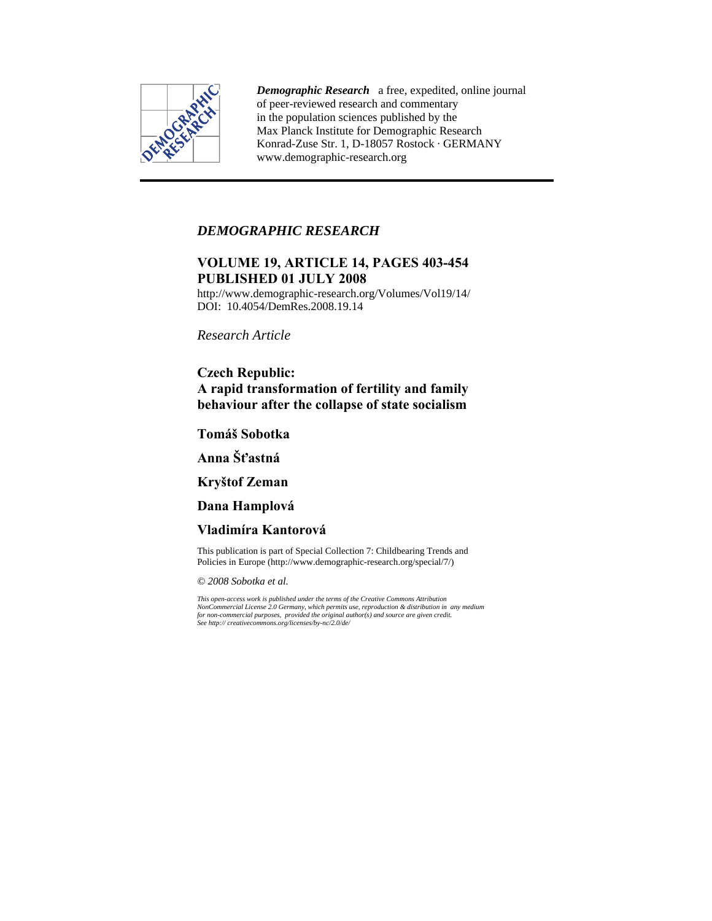

*Demographic Research* a free, expedited, online journal of peer-reviewed research and commentary in the population sciences published by the Max Planck Institute for Demographic Research Konrad-Zuse Str. 1, D-18057 Rostock · GERMANY www.demographic-research.org

# *DEMOGRAPHIC RESEARCH*

# **VOLUME 19, ARTICLE 14, PAGES 403-454 PUBLISHED 01 JULY 2008**

http://www.demographic-research.org/Volumes/Vol19/14/ DOI: 10.4054/DemRes. 2008.19.14

*Research Article* 

# **Czech Republic: A rapid transformation of fertility and family behaviour after the collapse of state socialism**

# **Tomáš Sobotka**

# **Anna Šťastná**

# **Kryštof Zeman**

**Dana Hamplová** 

# **Vladimíra Kantorová**

This publication is part of Special Collection 7: Childbearing Trends and Policies in Europe (http://www.demographic-research.org/special/7/)

#### *© 2008 Sobotka et al.*

*This open-access work is published under the terms of the Creative Commons Attribution NonCommercial License 2.0 Germany, which permits use, reproduction & distribution in any medium for non-commercial purposes, provided the original author(s) and source are given credit. See http:// creativecommons.org/licenses/by-nc/2.0/de/*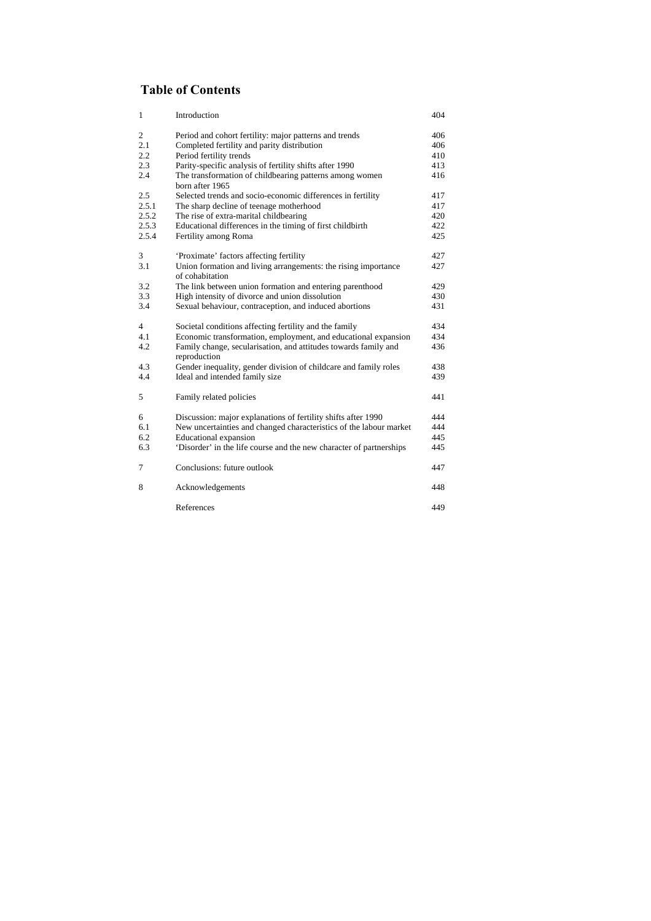# **Table of Contents**

| 1              | Introduction                                                                      | 404 |
|----------------|-----------------------------------------------------------------------------------|-----|
| $\mathfrak{2}$ | Period and cohort fertility: major patterns and trends                            | 406 |
| 2.1            | Completed fertility and parity distribution                                       | 406 |
| 2.2            | Period fertility trends                                                           | 410 |
| 2.3            | Parity-specific analysis of fertility shifts after 1990                           | 413 |
| 2.4            | The transformation of childbearing patterns among women<br>born after 1965        | 416 |
| 2.5            | Selected trends and socio-economic differences in fertility                       | 417 |
| 2.5.1          | The sharp decline of teenage motherhood                                           | 417 |
| 2.5.2          | The rise of extra-marital childbearing                                            | 420 |
| 2.5.3          | Educational differences in the timing of first childbirth                         | 422 |
| 2.5.4          | Fertility among Roma                                                              | 425 |
| 3              | 'Proximate' factors affecting fertility                                           | 427 |
| 3.1            | Union formation and living arrangements: the rising importance<br>of cohabitation | 427 |
| 3.2            | The link between union formation and entering parenthood                          | 429 |
| 3.3            | High intensity of divorce and union dissolution                                   | 430 |
| 3.4            | Sexual behaviour, contraception, and induced abortions                            | 431 |
| $\overline{4}$ | Societal conditions affecting fertility and the family                            | 434 |
| 4.1            | Economic transformation, employment, and educational expansion                    | 434 |
| 4.2            | Family change, secularisation, and attitudes towards family and<br>reproduction   | 436 |
| 4.3            | Gender inequality, gender division of childcare and family roles                  | 438 |
| 4.4            | Ideal and intended family size                                                    | 439 |
| 5              | Family related policies                                                           | 441 |
| 6              | Discussion: major explanations of fertility shifts after 1990                     | 444 |
| 6.1            | New uncertainties and changed characteristics of the labour market                | 444 |
| 6.2            | Educational expansion                                                             | 445 |
| 6.3            | 'Disorder' in the life course and the new character of partnerships               | 445 |
| 7              | Conclusions: future outlook                                                       | 447 |
| 8              | Acknowledgements                                                                  | 448 |
|                | References                                                                        | 449 |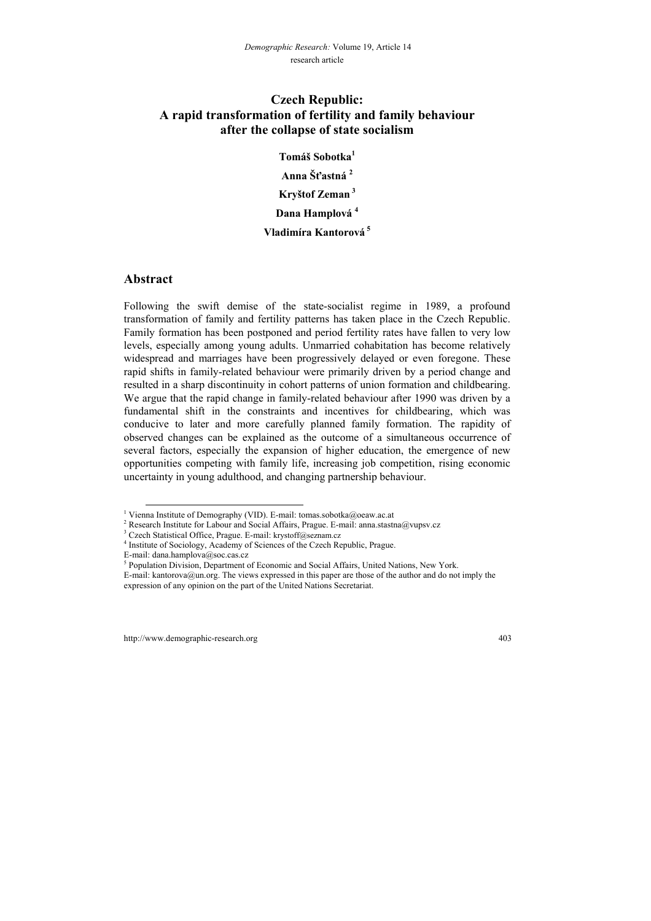# **Czech Republic: A rapid transformation of fertility and family behaviour after the collapse of state socialism**

**Tomáš Sobotka1 Anna Šťastná <sup>2</sup> Kryštof Zeman 3 Dana Hamplová 4 Vladimíra Kantorová<sup>5</sup>**

### **Abstract**

Following the swift demise of the state-socialist regime in 1989, a profound transformation of family and fertility patterns has taken place in the Czech Republic. Family formation has been postponed and period fertility rates have fallen to very low levels, especially among young adults. Unmarried cohabitation has become relatively widespread and marriages have been progressively delayed or even foregone. These rapid shifts in family-related behaviour were primarily driven by a period change and resulted in a sharp discontinuity in cohort patterns of union formation and childbearing. We argue that the rapid change in family-related behaviour after 1990 was driven by a fundamental shift in the constraints and incentives for childbearing, which was conducive to later and more carefully planned family formation. The rapidity of observed changes can be explained as the outcome of a simultaneous occurrence of several factors, especially the expansion of higher education, the emergence of new opportunities competing with family life, increasing job competition, rising economic uncertainty in young adulthood, and changing partnership behaviour.

4 Institute of Sociology, Academy of Sciences of the Czech Republic, Prague.

 <sup>1</sup> Vienna Institute of Demography (VID). E-mail: tomas.sobotka@oeaw.ac.at

<sup>&</sup>lt;sup>2</sup> Research Institute for Labour and Social Affairs, Prague. E-mail: anna.stastna@vupsv.cz  $\frac{3}{2}$  Crack Statistical Office. Prague. E-mail: knutoff@ecream.cz

<sup>&</sup>lt;sup>3</sup> Czech Statistical Office, Prague. E-mail: krystoff@seznam.cz

E-mail: dana.hamplova@soc.cas.cz

<sup>&</sup>lt;sup>5</sup> Population Division, Department of Economic and Social Affairs, United Nations, New York. E-mail: kantorova@un.org. The views expressed in this paper are those of the author and do not imply the expression of any opinion on the part of the United Nations Secretariat.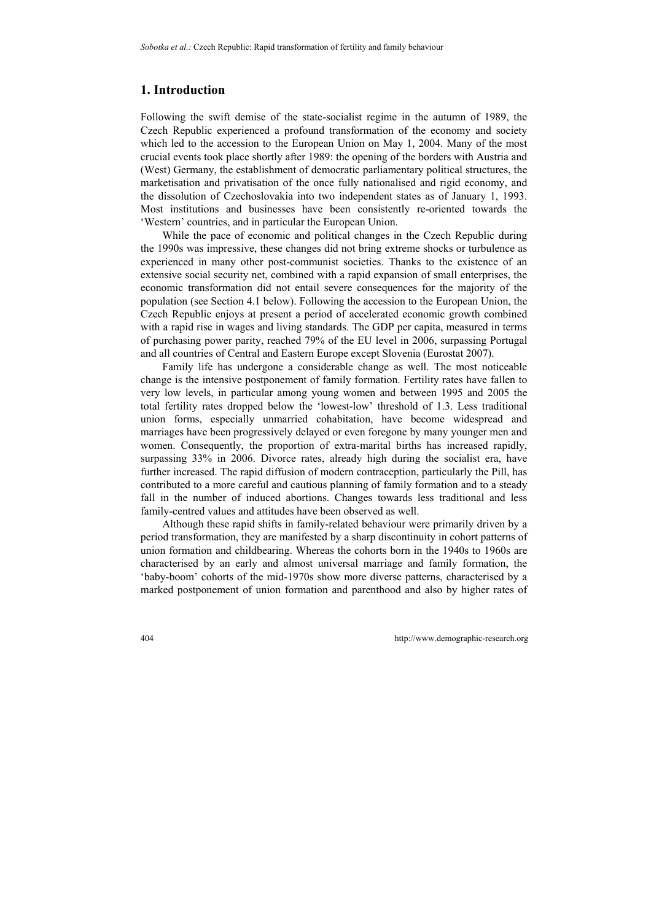# **1. Introduction**

Following the swift demise of the state-socialist regime in the autumn of 1989, the Czech Republic experienced a profound transformation of the economy and society which led to the accession to the European Union on May 1, 2004. Many of the most crucial events took place shortly after 1989: the opening of the borders with Austria and (West) Germany, the establishment of democratic parliamentary political structures, the marketisation and privatisation of the once fully nationalised and rigid economy, and the dissolution of Czechoslovakia into two independent states as of January 1, 1993. Most institutions and businesses have been consistently re-oriented towards the 'Western' countries, and in particular the European Union.

While the pace of economic and political changes in the Czech Republic during the 1990s was impressive, these changes did not bring extreme shocks or turbulence as experienced in many other post-communist societies. Thanks to the existence of an extensive social security net, combined with a rapid expansion of small enterprises, the economic transformation did not entail severe consequences for the majority of the population (see Section 4.1 below). Following the accession to the European Union, the Czech Republic enjoys at present a period of accelerated economic growth combined with a rapid rise in wages and living standards. The GDP per capita, measured in terms of purchasing power parity, reached 79% of the EU level in 2006, surpassing Portugal and all countries of Central and Eastern Europe except Slovenia (Eurostat 2007).

Family life has undergone a considerable change as well. The most noticeable change is the intensive postponement of family formation. Fertility rates have fallen to very low levels, in particular among young women and between 1995 and 2005 the total fertility rates dropped below the 'lowest-low' threshold of 1.3. Less traditional union forms, especially unmarried cohabitation, have become widespread and marriages have been progressively delayed or even foregone by many younger men and women. Consequently, the proportion of extra-marital births has increased rapidly, surpassing 33% in 2006. Divorce rates, already high during the socialist era, have further increased. The rapid diffusion of modern contraception, particularly the Pill, has contributed to a more careful and cautious planning of family formation and to a steady fall in the number of induced abortions. Changes towards less traditional and less family-centred values and attitudes have been observed as well.

Although these rapid shifts in family-related behaviour were primarily driven by a period transformation, they are manifested by a sharp discontinuity in cohort patterns of union formation and childbearing. Whereas the cohorts born in the 1940s to 1960s are characterised by an early and almost universal marriage and family formation, the 'baby-boom' cohorts of the mid-1970s show more diverse patterns, characterised by a marked postponement of union formation and parenthood and also by higher rates of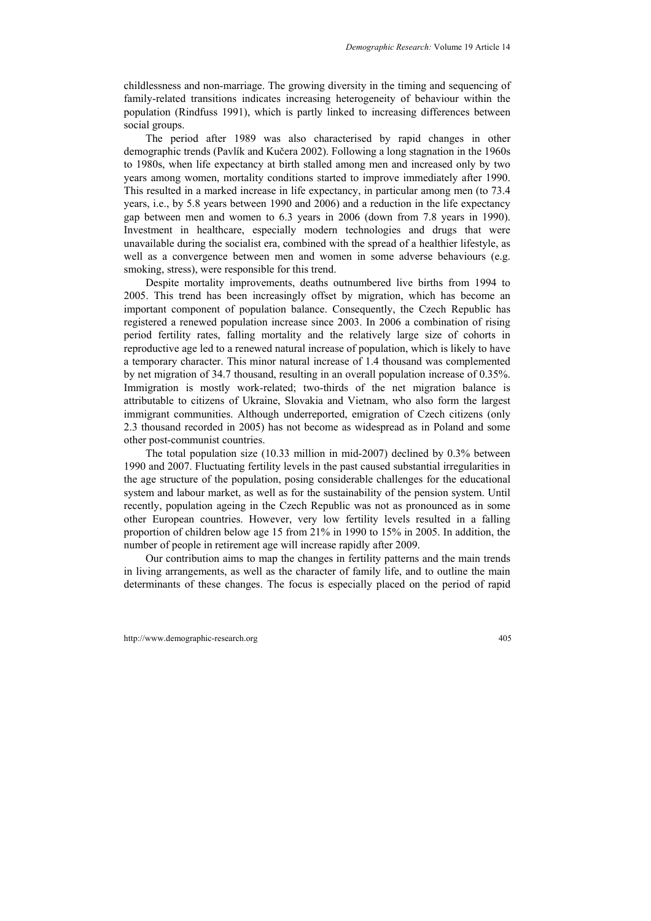childlessness and non-marriage. The growing diversity in the timing and sequencing of family-related transitions indicates increasing heterogeneity of behaviour within the population (Rindfuss 1991), which is partly linked to increasing differences between social groups.

The period after 1989 was also characterised by rapid changes in other demographic trends (Pavlík and Kučera 2002). Following a long stagnation in the 1960s to 1980s, when life expectancy at birth stalled among men and increased only by two years among women, mortality conditions started to improve immediately after 1990. This resulted in a marked increase in life expectancy, in particular among men (to 73.4 years, i.e., by 5.8 years between 1990 and 2006) and a reduction in the life expectancy gap between men and women to 6.3 years in 2006 (down from 7.8 years in 1990). Investment in healthcare, especially modern technologies and drugs that were unavailable during the socialist era, combined with the spread of a healthier lifestyle, as well as a convergence between men and women in some adverse behaviours (e.g. smoking, stress), were responsible for this trend.

Despite mortality improvements, deaths outnumbered live births from 1994 to 2005. This trend has been increasingly offset by migration, which has become an important component of population balance. Consequently, the Czech Republic has registered a renewed population increase since 2003. In 2006 a combination of rising period fertility rates, falling mortality and the relatively large size of cohorts in reproductive age led to a renewed natural increase of population, which is likely to have a temporary character. This minor natural increase of 1.4 thousand was complemented by net migration of 34.7 thousand, resulting in an overall population increase of 0.35%. Immigration is mostly work-related; two-thirds of the net migration balance is attributable to citizens of Ukraine, Slovakia and Vietnam, who also form the largest immigrant communities. Although underreported, emigration of Czech citizens (only 2.3 thousand recorded in 2005) has not become as widespread as in Poland and some other post-communist countries.

The total population size (10.33 million in mid-2007) declined by 0.3% between 1990 and 2007. Fluctuating fertility levels in the past caused substantial irregularities in the age structure of the population, posing considerable challenges for the educational system and labour market, as well as for the sustainability of the pension system. Until recently, population ageing in the Czech Republic was not as pronounced as in some other European countries. However, very low fertility levels resulted in a falling proportion of children below age 15 from 21% in 1990 to 15% in 2005. In addition, the number of people in retirement age will increase rapidly after 2009.

Our contribution aims to map the changes in fertility patterns and the main trends in living arrangements, as well as the character of family life, and to outline the main determinants of these changes. The focus is especially placed on the period of rapid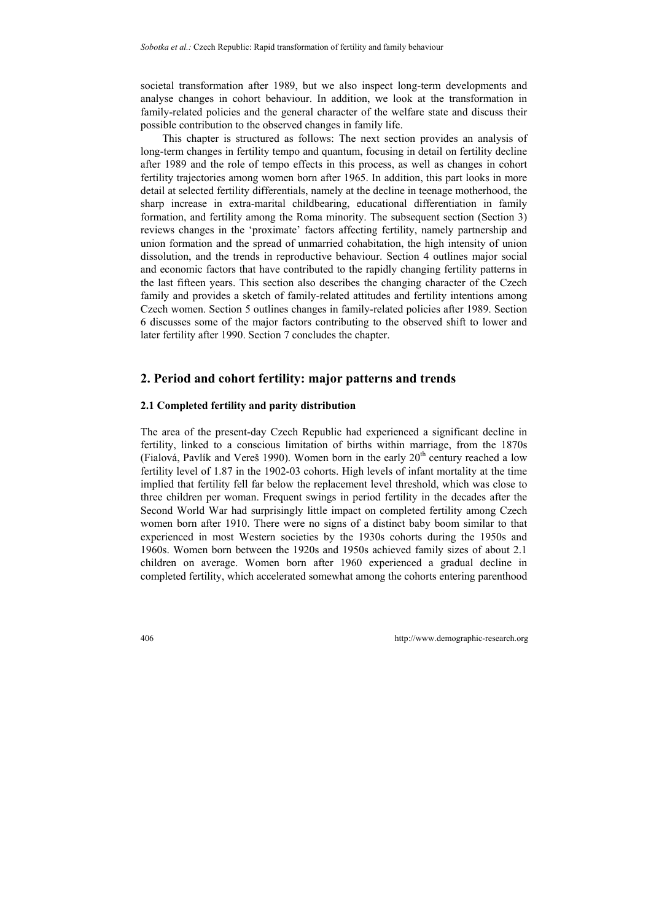societal transformation after 1989, but we also inspect long-term developments and analyse changes in cohort behaviour. In addition, we look at the transformation in family-related policies and the general character of the welfare state and discuss their possible contribution to the observed changes in family life.

This chapter is structured as follows: The next section provides an analysis of long-term changes in fertility tempo and quantum, focusing in detail on fertility decline after 1989 and the role of tempo effects in this process, as well as changes in cohort fertility trajectories among women born after 1965. In addition, this part looks in more detail at selected fertility differentials, namely at the decline in teenage motherhood, the sharp increase in extra-marital childbearing, educational differentiation in family formation, and fertility among the Roma minority. The subsequent section (Section 3) reviews changes in the 'proximate' factors affecting fertility, namely partnership and union formation and the spread of unmarried cohabitation, the high intensity of union dissolution, and the trends in reproductive behaviour. Section 4 outlines major social and economic factors that have contributed to the rapidly changing fertility patterns in the last fifteen years. This section also describes the changing character of the Czech family and provides a sketch of family-related attitudes and fertility intentions among Czech women. Section 5 outlines changes in family-related policies after 1989. Section 6 discusses some of the major factors contributing to the observed shift to lower and later fertility after 1990. Section 7 concludes the chapter.

# **2. Period and cohort fertility: major patterns and trends**

### **2.1 Completed fertility and parity distribution**

The area of the present-day Czech Republic had experienced a significant decline in fertility, linked to a conscious limitation of births within marriage, from the 1870s (Fialová, Pavlík and Vereš 1990). Women born in the early  $20<sup>th</sup>$  century reached a low fertility level of 1.87 in the 1902-03 cohorts. High levels of infant mortality at the time implied that fertility fell far below the replacement level threshold, which was close to three children per woman. Frequent swings in period fertility in the decades after the Second World War had surprisingly little impact on completed fertility among Czech women born after 1910. There were no signs of a distinct baby boom similar to that experienced in most Western societies by the 1930s cohorts during the 1950s and 1960s. Women born between the 1920s and 1950s achieved family sizes of about 2.1 children on average. Women born after 1960 experienced a gradual decline in completed fertility, which accelerated somewhat among the cohorts entering parenthood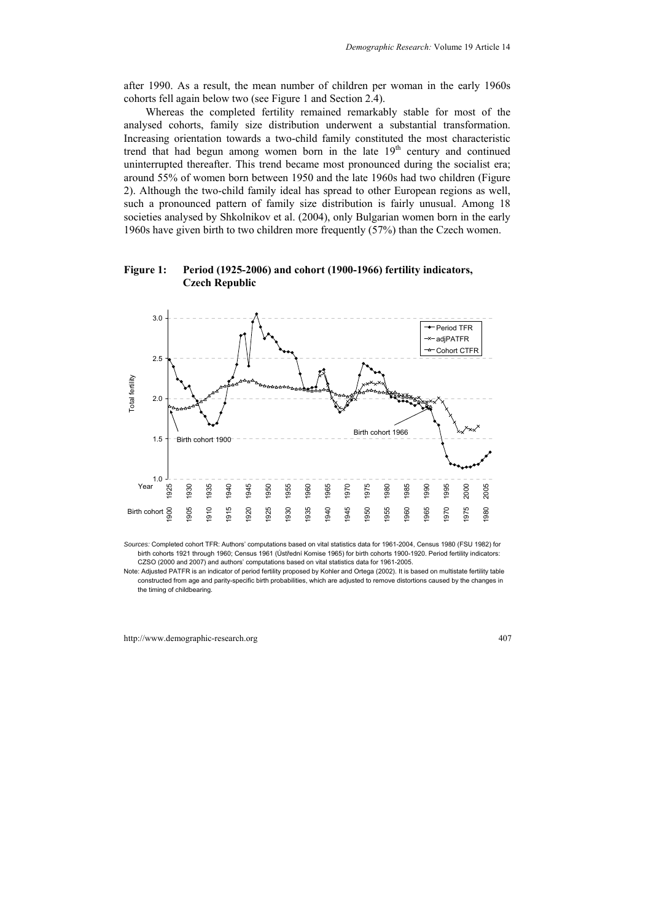after 1990. As a result, the mean number of children per woman in the early 1960s cohorts fell again below two (see Figure 1 and Section 2.4).

Whereas the completed fertility remained remarkably stable for most of the analysed cohorts, family size distribution underwent a substantial transformation. Increasing orientation towards a two-child family constituted the most characteristic trend that had begun among women born in the late  $19<sup>th</sup>$  century and continued uninterrupted thereafter. This trend became most pronounced during the socialist era; around 55% of women born between 1950 and the late 1960s had two children (Figure 2). Although the two-child family ideal has spread to other European regions as well, such a pronounced pattern of family size distribution is fairly unusual. Among 18 societies analysed by Shkolnikov et al. (2004), only Bulgarian women born in the early 1960s have given birth to two children more frequently (57%) than the Czech women.

### **Figure 1: Period (1925-2006) and cohort (1900-1966) fertility indicators, Czech Republic**



*Sources:* Completed cohort TFR: Authors' computations based on vital statistics data for 1961-2004, Census 1980 (FSU 1982) for birth cohorts 1921 through 1960; Census 1961 (Ústřední Komise 1965) for birth cohorts 1900-1920. Period fertility indicators: CZSO (2000 and 2007) and authors' computations based on vital statistics data for 1961-2005.

Note: Adjusted PATFR is an indicator of period fertility proposed by Kohler and Ortega (2002). It is based on multistate fertility table constructed from age and parity-specific birth probabilities, which are adjusted to remove distortions caused by the changes in the timing of childbearing.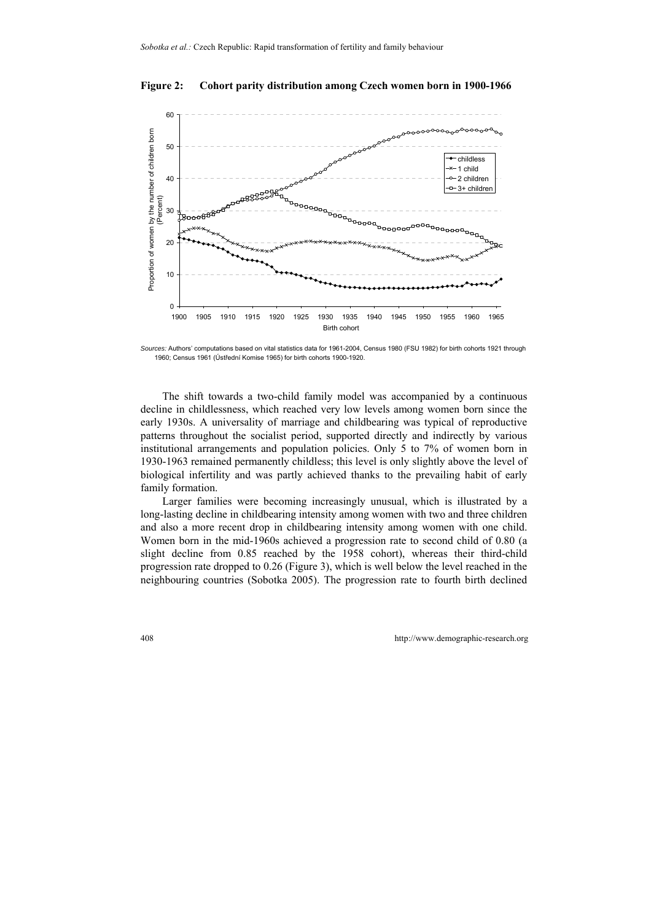



*Sources:* Authors' computations based on vital statistics data for 1961-2004, Census 1980 (FSU 1982) for birth cohorts 1921 through 1960; Census 1961 (Ústřední Komise 1965) for birth cohorts 1900-1920.

The shift towards a two-child family model was accompanied by a continuous decline in childlessness, which reached very low levels among women born since the early 1930s. A universality of marriage and childbearing was typical of reproductive patterns throughout the socialist period, supported directly and indirectly by various institutional arrangements and population policies. Only 5 to 7% of women born in 1930-1963 remained permanently childless; this level is only slightly above the level of biological infertility and was partly achieved thanks to the prevailing habit of early family formation.

Larger families were becoming increasingly unusual, which is illustrated by a long-lasting decline in childbearing intensity among women with two and three children and also a more recent drop in childbearing intensity among women with one child. Women born in the mid-1960s achieved a progression rate to second child of 0.80 (a slight decline from 0.85 reached by the 1958 cohort), whereas their third-child progression rate dropped to 0.26 (Figure 3), which is well below the level reached in the neighbouring countries (Sobotka 2005). The progression rate to fourth birth declined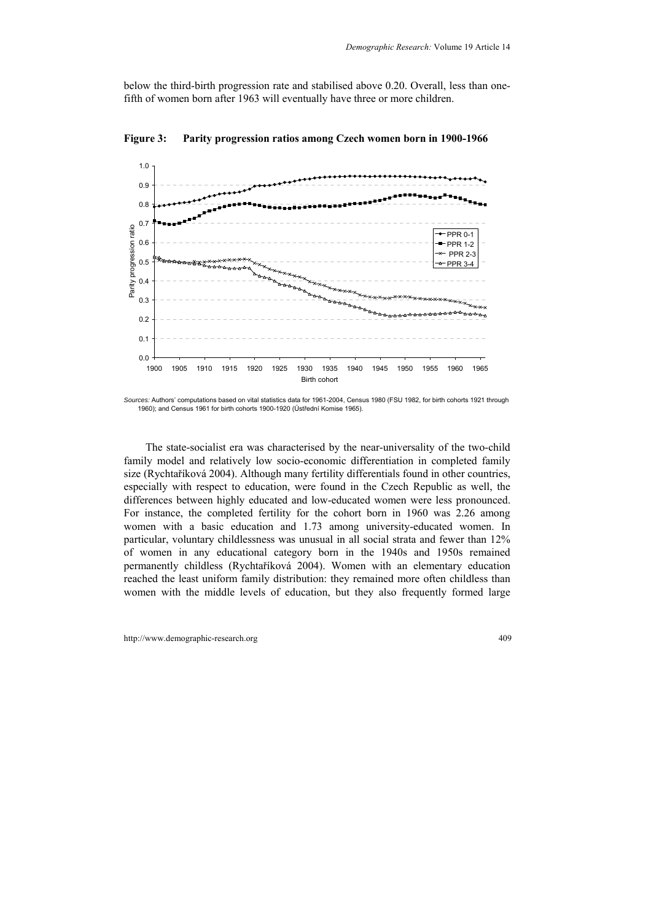below the third-birth progression rate and stabilised above 0.20. Overall, less than onefifth of women born after 1963 will eventually have three or more children.



**Figure 3: Parity progression ratios among Czech women born in 1900-1966** 

*Sources:* Authors' computations based on vital statistics data for 1961-2004, Census 1980 (FSU 1982, for birth cohorts 1921 through 1960); and Census 1961 for birth cohorts 1900-1920 (Ústřední Komise 1965).

The state-socialist era was characterised by the near-universality of the two-child family model and relatively low socio-economic differentiation in completed family size (Rychtaříková 2004). Although many fertility differentials found in other countries, especially with respect to education, were found in the Czech Republic as well, the differences between highly educated and low-educated women were less pronounced. For instance, the completed fertility for the cohort born in 1960 was 2.26 among women with a basic education and 1.73 among university-educated women. In particular, voluntary childlessness was unusual in all social strata and fewer than 12% of women in any educational category born in the 1940s and 1950s remained permanently childless (Rychtaříková 2004). Women with an elementary education reached the least uniform family distribution: they remained more often childless than women with the middle levels of education, but they also frequently formed large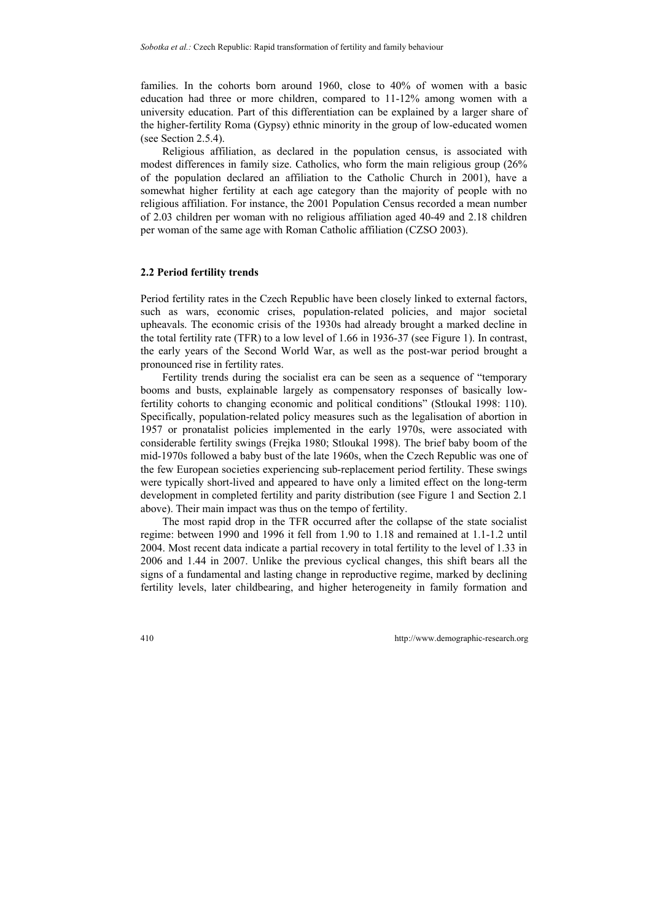families. In the cohorts born around 1960, close to 40% of women with a basic education had three or more children, compared to 11-12% among women with a university education. Part of this differentiation can be explained by a larger share of the higher-fertility Roma (Gypsy) ethnic minority in the group of low-educated women (see Section 2.5.4).

Religious affiliation, as declared in the population census, is associated with modest differences in family size. Catholics, who form the main religious group (26% of the population declared an affiliation to the Catholic Church in 2001), have a somewhat higher fertility at each age category than the majority of people with no religious affiliation. For instance, the 2001 Population Census recorded a mean number of 2.03 children per woman with no religious affiliation aged 40-49 and 2.18 children per woman of the same age with Roman Catholic affiliation (CZSO 2003).

#### **2.2 Period fertility trends**

Period fertility rates in the Czech Republic have been closely linked to external factors, such as wars, economic crises, population-related policies, and major societal upheavals. The economic crisis of the 1930s had already brought a marked decline in the total fertility rate (TFR) to a low level of 1.66 in 1936-37 (see Figure 1). In contrast, the early years of the Second World War, as well as the post-war period brought a pronounced rise in fertility rates.

Fertility trends during the socialist era can be seen as a sequence of "temporary booms and busts, explainable largely as compensatory responses of basically lowfertility cohorts to changing economic and political conditions" (Stloukal 1998: 110). Specifically, population-related policy measures such as the legalisation of abortion in 1957 or pronatalist policies implemented in the early 1970s, were associated with considerable fertility swings (Frejka 1980; Stloukal 1998). The brief baby boom of the mid-1970s followed a baby bust of the late 1960s, when the Czech Republic was one of the few European societies experiencing sub-replacement period fertility. These swings were typically short-lived and appeared to have only a limited effect on the long-term development in completed fertility and parity distribution (see Figure 1 and Section 2.1 above). Their main impact was thus on the tempo of fertility.

The most rapid drop in the TFR occurred after the collapse of the state socialist regime: between 1990 and 1996 it fell from 1.90 to 1.18 and remained at 1.1-1.2 until 2004. Most recent data indicate a partial recovery in total fertility to the level of 1.33 in 2006 and 1.44 in 2007. Unlike the previous cyclical changes, this shift bears all the signs of a fundamental and lasting change in reproductive regime, marked by declining fertility levels, later childbearing, and higher heterogeneity in family formation and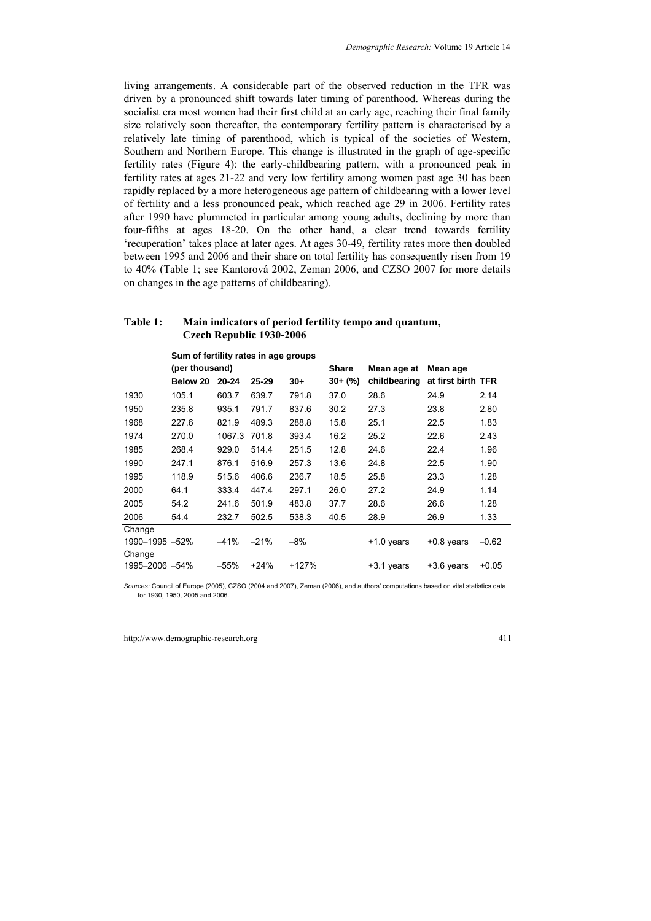living arrangements. A considerable part of the observed reduction in the TFR was driven by a pronounced shift towards later timing of parenthood. Whereas during the socialist era most women had their first child at an early age, reaching their final family size relatively soon thereafter, the contemporary fertility pattern is characterised by a relatively late timing of parenthood, which is typical of the societies of Western, Southern and Northern Europe. This change is illustrated in the graph of age-specific fertility rates (Figure 4): the early-childbearing pattern, with a pronounced peak in fertility rates at ages 21-22 and very low fertility among women past age 30 has been rapidly replaced by a more heterogeneous age pattern of childbearing with a lower level of fertility and a less pronounced peak, which reached age 29 in 2006. Fertility rates after 1990 have plummeted in particular among young adults, declining by more than four-fifths at ages 18-20. On the other hand, a clear trend towards fertility 'recuperation' takes place at later ages. At ages 30-49, fertility rates more then doubled between 1995 and 2006 and their share on total fertility has consequently risen from 19 to 40% (Table 1; see Kantorová 2002, Zeman 2006, and CZSO 2007 for more details on changes in the age patterns of childbearing).

|                | Sum of fertility rates in age groups |        |           |         |           |              |                    |         |  |
|----------------|--------------------------------------|--------|-----------|---------|-----------|--------------|--------------------|---------|--|
|                | (per thousand)                       |        |           |         | Share     | Mean age at  | Mean age           |         |  |
|                | Below 20                             | 20-24  | $25 - 29$ | $30+$   | $30+$ (%) | childbearing | at first birth TFR |         |  |
| 1930           | 105.1                                | 603.7  | 639.7     | 791.8   | 37.0      | 28.6         | 24.9               | 2.14    |  |
| 1950           | 235.8                                | 935.1  | 791.7     | 837.6   | 30.2      | 27.3         | 23.8               | 2.80    |  |
| 1968           | 227.6                                | 821.9  | 489.3     | 288.8   | 15.8      | 25.1         | 22.5               | 1.83    |  |
| 1974           | 270.0                                | 1067.3 | 701.8     | 393.4   | 16.2      | 25.2         | 22.6               | 2.43    |  |
| 1985           | 268.4                                | 929.0  | 514.4     | 251.5   | 12.8      | 24.6         | 22.4               | 1.96    |  |
| 1990           | 247.1                                | 876.1  | 516.9     | 257.3   | 13.6      | 24.8         | 22.5               | 1.90    |  |
| 1995           | 118.9                                | 515.6  | 406.6     | 236.7   | 18.5      | 25.8         | 23.3               | 1.28    |  |
| 2000           | 64.1                                 | 333.4  | 447.4     | 297.1   | 26.0      | 27.2         | 24.9               | 1.14    |  |
| 2005           | 54.2                                 | 241.6  | 501.9     | 483.8   | 37.7      | 28.6         | 26.6               | 1.28    |  |
| 2006           | 54.4                                 | 232.7  | 502.5     | 538.3   | 40.5      | 28.9         | 26.9               | 1.33    |  |
| Change         |                                      |        |           |         |           |              |                    |         |  |
| 1990-1995 -52% |                                      | $-41%$ | $-21%$    | $-8%$   |           | +1.0 years   | $+0.8$ years       | $-0.62$ |  |
| Change         |                                      |        |           |         |           |              |                    |         |  |
| 1995-2006 -54% |                                      | $-55%$ | $+24%$    | $+127%$ |           | +3.1 years   | +3.6 years         | $+0.05$ |  |

**Table 1: Main indicators of period fertility tempo and quantum, Czech Republic 1930-2006** 

*Sources:* Council of Europe (2005), CZSO (2004 and 2007), Zeman (2006), and authors' computations based on vital statistics data for 1930, 1950, 2005 and 2006.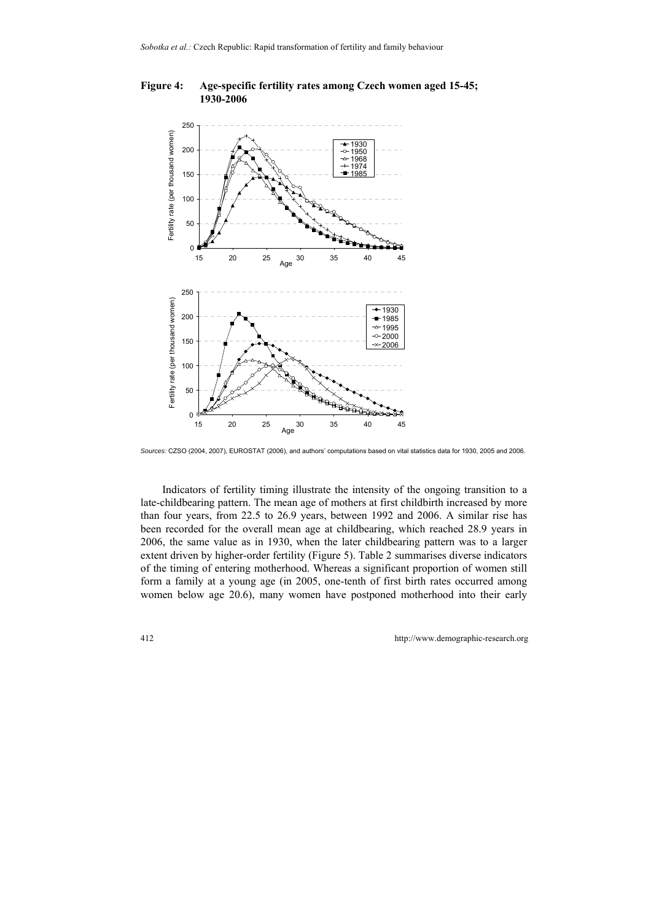**Figure 4: Age-specific fertility rates among Czech women aged 15-45; 1930-2006** 



*Sources:* CZSO (2004, 2007), EUROSTAT (2006), and authors' computations based on vital statistics data for 1930, 2005 and 2006.

Indicators of fertility timing illustrate the intensity of the ongoing transition to a late-childbearing pattern. The mean age of mothers at first childbirth increased by more than four years, from 22.5 to 26.9 years, between 1992 and 2006. A similar rise has been recorded for the overall mean age at childbearing, which reached 28.9 years in 2006, the same value as in 1930, when the later childbearing pattern was to a larger extent driven by higher-order fertility (Figure 5). Table 2 summarises diverse indicators of the timing of entering motherhood. Whereas a significant proportion of women still form a family at a young age (in 2005, one-tenth of first birth rates occurred among women below age 20.6), many women have postponed motherhood into their early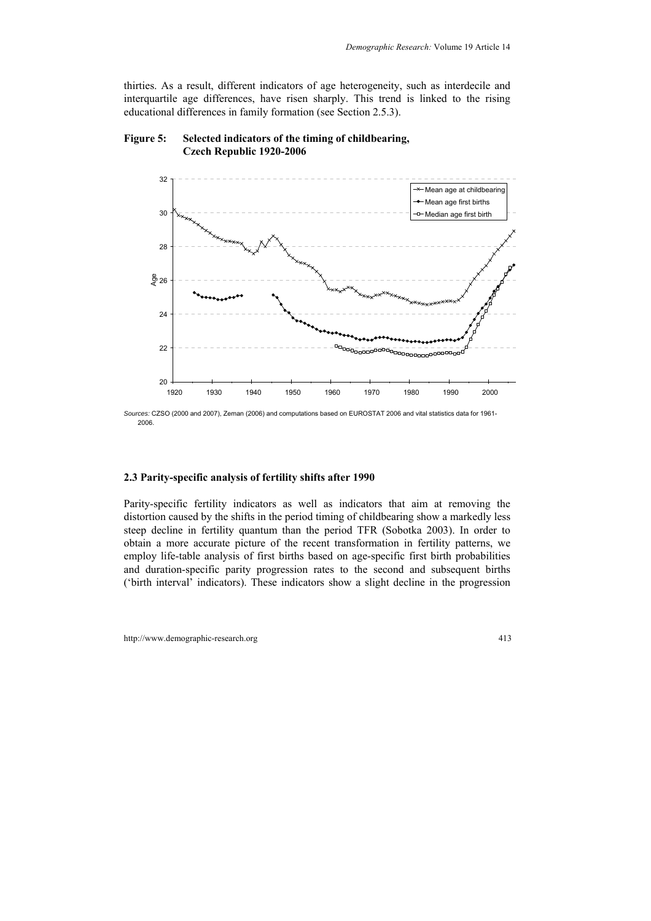thirties. As a result, different indicators of age heterogeneity, such as interdecile and interquartile age differences, have risen sharply. This trend is linked to the rising educational differences in family formation (see Section 2.5.3).



### **Figure 5: Selected indicators of the timing of childbearing, Czech Republic 1920-2006**

*Sources:* CZSO (2000 and 2007), Zeman (2006) and computations based on EUROSTAT 2006 and vital statistics data for 1961- 2006.

#### **2.3 Parity-specific analysis of fertility shifts after 1990**

Parity-specific fertility indicators as well as indicators that aim at removing the distortion caused by the shifts in the period timing of childbearing show a markedly less steep decline in fertility quantum than the period TFR (Sobotka 2003). In order to obtain a more accurate picture of the recent transformation in fertility patterns, we employ life-table analysis of first births based on age-specific first birth probabilities and duration-specific parity progression rates to the second and subsequent births ('birth interval' indicators). These indicators show a slight decline in the progression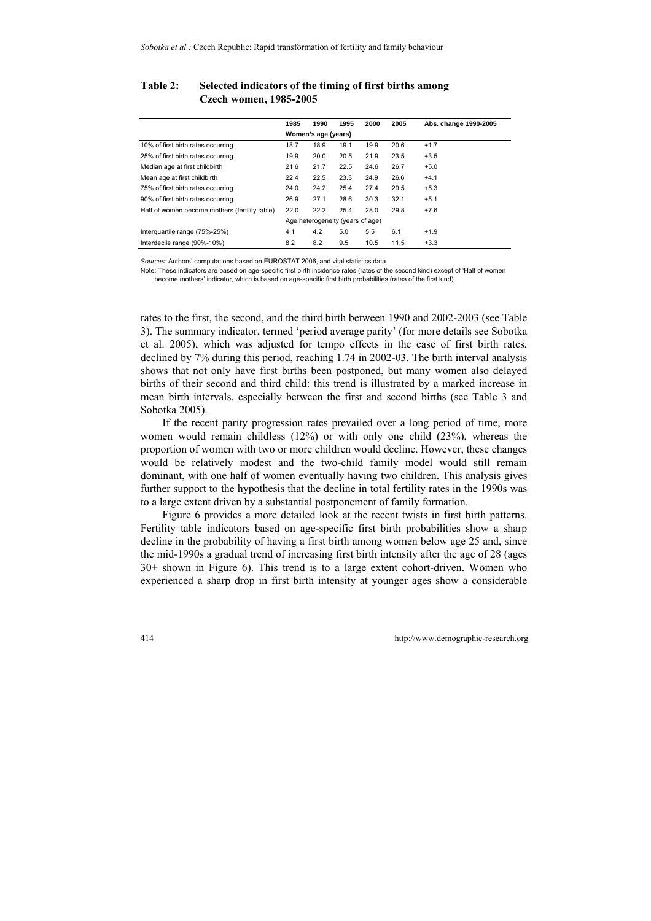|                                                | 1985                | 1990                             | 1995 | 2000 | 2005 | Abs. change 1990-2005 |  |  |
|------------------------------------------------|---------------------|----------------------------------|------|------|------|-----------------------|--|--|
|                                                | Women's age (years) |                                  |      |      |      |                       |  |  |
| 10% of first birth rates occurring             | 18.7                | 18.9                             | 19.1 | 19.9 | 20.6 | $+1.7$                |  |  |
| 25% of first birth rates occurring             | 19.9                | 20.0                             | 20.5 | 21.9 | 23.5 | $+3.5$                |  |  |
| Median age at first childbirth                 | 21.6                | 21.7                             | 22.5 | 24.6 | 26.7 | $+5.0$                |  |  |
| Mean age at first childbirth                   | 22.4                | 22.5                             | 23.3 | 24.9 | 26.6 | $+4.1$                |  |  |
| 75% of first birth rates occurring             | 24.0                | 24.2                             | 25.4 | 27.4 | 29.5 | $+5.3$                |  |  |
| 90% of first birth rates occurring             | 26.9                | 27.1                             | 28.6 | 30.3 | 32.1 | $+5.1$                |  |  |
| Half of women become mothers (fertility table) | 22.0                | 22.2                             | 25.4 | 28.0 | 29.8 | $+7.6$                |  |  |
|                                                |                     | Age heterogeneity (years of age) |      |      |      |                       |  |  |
| Interquartile range (75%-25%)                  | 4.1                 | 4.2                              | 5.0  | 5.5  | 6.1  | $+1.9$                |  |  |
| Interdecile range (90%-10%)                    | 8.2                 | 8.2                              | 9.5  | 10.5 | 11.5 | $+3.3$                |  |  |

#### **Table 2: Selected indicators of the timing of first births among Czech women, 1985-2005**

*Sources:* Authors' computations based on EUROSTAT 2006, and vital statistics data.

Note: These indicators are based on age-specific first birth incidence rates (rates of the second kind) except of 'Half of women become mothers' indicator, which is based on age-specific first birth probabilities (rates of the first kind)

rates to the first, the second, and the third birth between 1990 and 2002-2003 (see Table 3). The summary indicator, termed 'period average parity' (for more details see Sobotka et al. 2005), which was adjusted for tempo effects in the case of first birth rates, declined by 7% during this period, reaching 1.74 in 2002-03. The birth interval analysis shows that not only have first births been postponed, but many women also delayed births of their second and third child: this trend is illustrated by a marked increase in mean birth intervals, especially between the first and second births (see Table 3 and Sobotka 2005).

If the recent parity progression rates prevailed over a long period of time, more women would remain childless (12%) or with only one child (23%), whereas the proportion of women with two or more children would decline. However, these changes would be relatively modest and the two-child family model would still remain dominant, with one half of women eventually having two children. This analysis gives further support to the hypothesis that the decline in total fertility rates in the 1990s was to a large extent driven by a substantial postponement of family formation.

Figure 6 provides a more detailed look at the recent twists in first birth patterns. Fertility table indicators based on age-specific first birth probabilities show a sharp decline in the probability of having a first birth among women below age 25 and, since the mid-1990s a gradual trend of increasing first birth intensity after the age of 28 (ages 30+ shown in Figure 6). This trend is to a large extent cohort-driven. Women who experienced a sharp drop in first birth intensity at younger ages show a considerable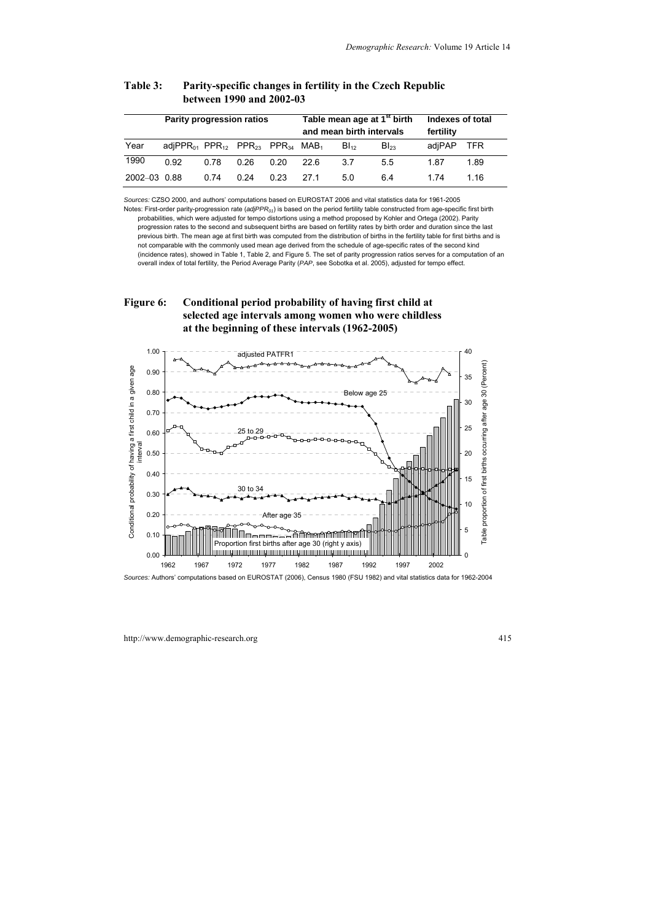|              | Parity progression ratios                                 |      |      |      |      | Table mean age at 1 <sup>st</sup> birth<br>and mean birth intervals | Indexes of total<br>fertility |        |            |
|--------------|-----------------------------------------------------------|------|------|------|------|---------------------------------------------------------------------|-------------------------------|--------|------------|
| Year         | adj $PPR_{01}$ $PPR_{12}$ $PPR_{23}$ $PPR_{34}$ $MAB_{1}$ |      |      |      |      | $B _{12}$                                                           | $B _{23}$                     | adiPAP | <b>TFR</b> |
| 1990         | 0.92                                                      | 0.78 | 0.26 | 0.20 | 22 G | 37                                                                  | 55                            | 187    | 1.89       |
| 2002-03 0.88 |                                                           | 0.74 | 0.24 | 0.23 | 271  | 50                                                                  | 64                            | 1 74   | 1 1 6      |

#### **Table 3: Parity-specific changes in fertility in the Czech Republic between 1990 and 2002-03**

*Sources:* CZSO 2000, and authors' computations based on EUROSTAT 2006 and vital statistics data for 1961-2005 Notes: First-order parity-progression rate (*adjPPR01*) is based on the period fertility table constructed from age-specific first birth

probabilities, which were adjusted for tempo distortions using a method proposed by Kohler and Ortega (2002). Parity progression rates to the second and subsequent births are based on fertility rates by birth order and duration since the last previous birth. The mean age at first birth was computed from the distribution of births in the fertility table for first births and is not comparable with the commonly used mean age derived from the schedule of age-specific rates of the second kind (incidence rates), showed in Table 1, Table 2, and Figure 5. The set of parity progression ratios serves for a computation of an overall index of total fertility, the Period Average Parity (*PAP*, see Sobotka et al. 2005), adjusted for tempo effect.

### **Figure 6: Conditional period probability of having first child at selected age intervals among women who were childless at the beginning of these intervals (1962-2005)**



*Sources:* Authors' computations based on EUROSTAT (2006), Census 1980 (FSU 1982) and vital statistics data for 1962-2004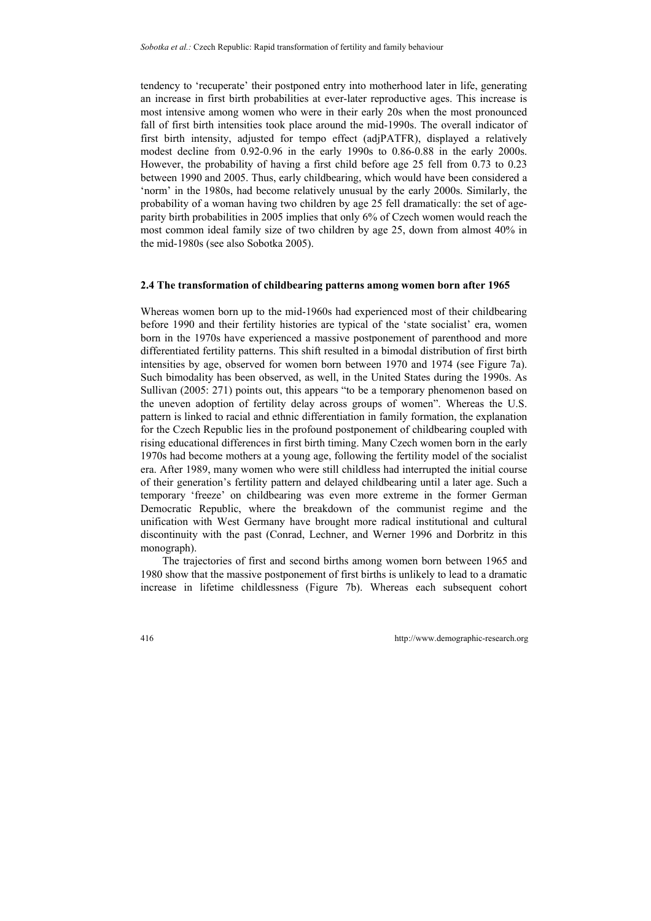tendency to 'recuperate' their postponed entry into motherhood later in life, generating an increase in first birth probabilities at ever-later reproductive ages. This increase is most intensive among women who were in their early 20s when the most pronounced fall of first birth intensities took place around the mid-1990s. The overall indicator of first birth intensity, adjusted for tempo effect (adjPATFR), displayed a relatively modest decline from 0.92-0.96 in the early 1990s to 0.86-0.88 in the early 2000s. However, the probability of having a first child before age 25 fell from 0.73 to 0.23 between 1990 and 2005. Thus, early childbearing, which would have been considered a 'norm' in the 1980s, had become relatively unusual by the early 2000s. Similarly, the probability of a woman having two children by age 25 fell dramatically: the set of ageparity birth probabilities in 2005 implies that only 6% of Czech women would reach the most common ideal family size of two children by age 25, down from almost 40% in the mid-1980s (see also Sobotka 2005).

#### **2.4 The transformation of childbearing patterns among women born after 1965**

Whereas women born up to the mid-1960s had experienced most of their childbearing before 1990 and their fertility histories are typical of the 'state socialist' era, women born in the 1970s have experienced a massive postponement of parenthood and more differentiated fertility patterns. This shift resulted in a bimodal distribution of first birth intensities by age, observed for women born between 1970 and 1974 (see Figure 7a). Such bimodality has been observed, as well, in the United States during the 1990s. As Sullivan (2005: 271) points out, this appears "to be a temporary phenomenon based on the uneven adoption of fertility delay across groups of women". Whereas the U.S. pattern is linked to racial and ethnic differentiation in family formation, the explanation for the Czech Republic lies in the profound postponement of childbearing coupled with rising educational differences in first birth timing. Many Czech women born in the early 1970s had become mothers at a young age, following the fertility model of the socialist era. After 1989, many women who were still childless had interrupted the initial course of their generation's fertility pattern and delayed childbearing until a later age. Such a temporary 'freeze' on childbearing was even more extreme in the former German Democratic Republic, where the breakdown of the communist regime and the unification with West Germany have brought more radical institutional and cultural discontinuity with the past (Conrad, Lechner, and Werner 1996 and Dorbritz in this monograph).

The trajectories of first and second births among women born between 1965 and 1980 show that the massive postponement of first births is unlikely to lead to a dramatic increase in lifetime childlessness (Figure 7b). Whereas each subsequent cohort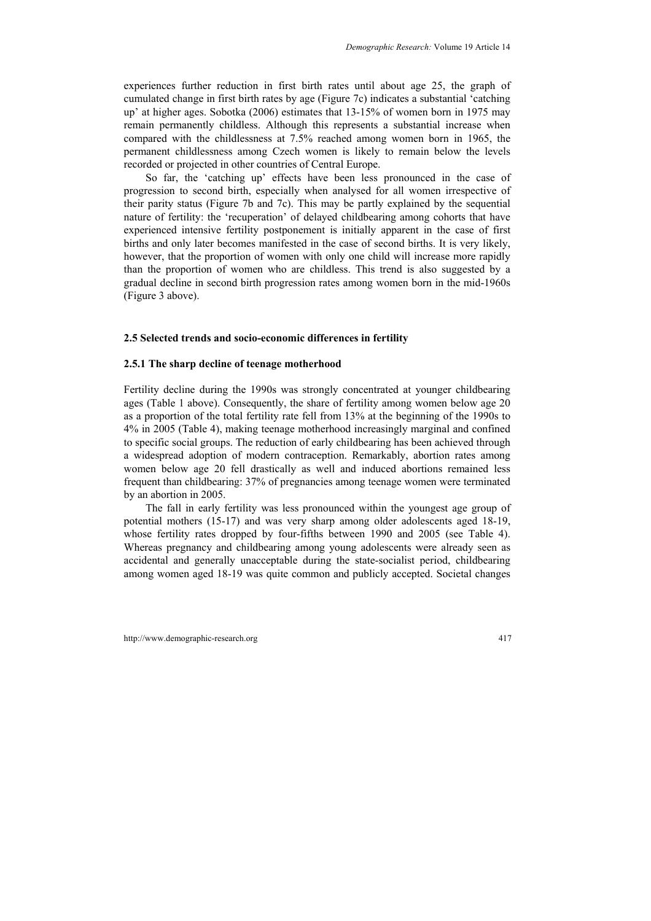experiences further reduction in first birth rates until about age 25, the graph of cumulated change in first birth rates by age (Figure 7c) indicates a substantial 'catching up' at higher ages. Sobotka (2006) estimates that 13-15% of women born in 1975 may remain permanently childless. Although this represents a substantial increase when compared with the childlessness at 7.5% reached among women born in 1965, the permanent childlessness among Czech women is likely to remain below the levels recorded or projected in other countries of Central Europe.

So far, the 'catching up' effects have been less pronounced in the case of progression to second birth, especially when analysed for all women irrespective of their parity status (Figure 7b and 7c). This may be partly explained by the sequential nature of fertility: the 'recuperation' of delayed childbearing among cohorts that have experienced intensive fertility postponement is initially apparent in the case of first births and only later becomes manifested in the case of second births. It is very likely, however, that the proportion of women with only one child will increase more rapidly than the proportion of women who are childless. This trend is also suggested by a gradual decline in second birth progression rates among women born in the mid-1960s (Figure 3 above).

#### **2.5 Selected trends and socio-economic differences in fertility**

#### **2.5.1 The sharp decline of teenage motherhood**

Fertility decline during the 1990s was strongly concentrated at younger childbearing ages (Table 1 above). Consequently, the share of fertility among women below age 20 as a proportion of the total fertility rate fell from 13% at the beginning of the 1990s to 4% in 2005 (Table 4), making teenage motherhood increasingly marginal and confined to specific social groups. The reduction of early childbearing has been achieved through a widespread adoption of modern contraception. Remarkably, abortion rates among women below age 20 fell drastically as well and induced abortions remained less frequent than childbearing: 37% of pregnancies among teenage women were terminated by an abortion in 2005.

The fall in early fertility was less pronounced within the youngest age group of potential mothers (15-17) and was very sharp among older adolescents aged 18-19, whose fertility rates dropped by four-fifths between 1990 and 2005 (see Table 4). Whereas pregnancy and childbearing among young adolescents were already seen as accidental and generally unacceptable during the state-socialist period, childbearing among women aged 18-19 was quite common and publicly accepted. Societal changes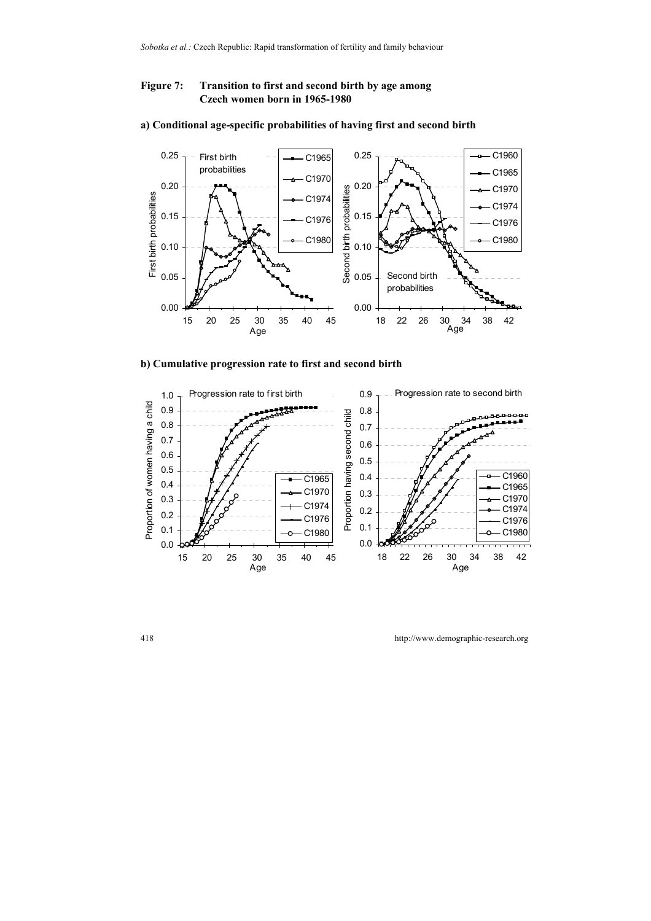### **Figure 7: Transition to first and second birth by age among Czech women born in 1965-1980**



#### **a) Conditional age-specific probabilities of having first and second birth**

**b) Cumulative progression rate to first and second birth** 

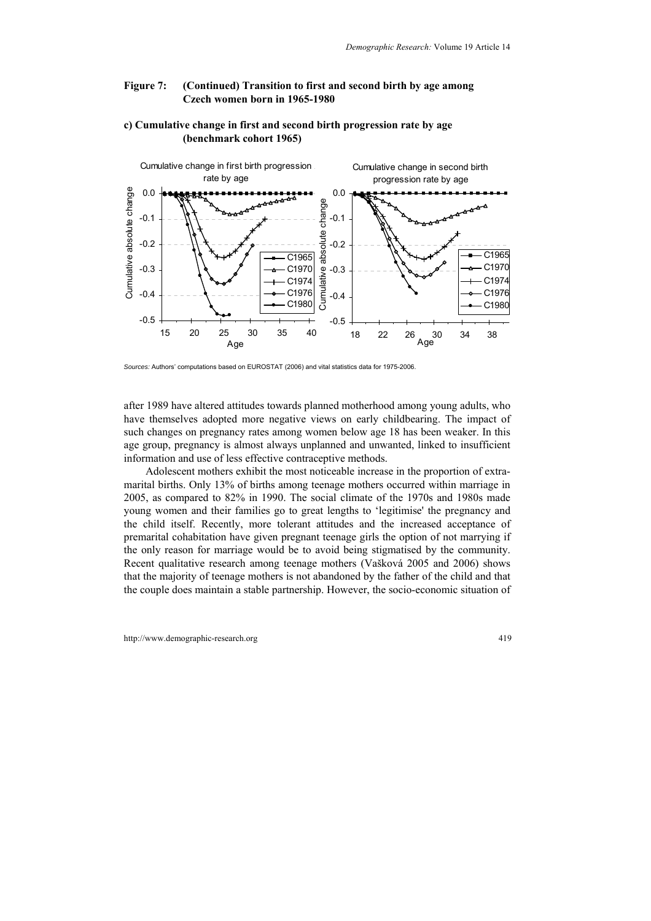#### **Figure 7: (Continued) Transition to first and second birth by age among Czech women born in 1965-1980**

### **c) Cumulative change in first and second birth progression rate by age (benchmark cohort 1965)**



*Sources:* Authors' computations based on EUROSTAT (2006) and vital statistics data for 1975-2006.

after 1989 have altered attitudes towards planned motherhood among young adults, who have themselves adopted more negative views on early childbearing. The impact of such changes on pregnancy rates among women below age 18 has been weaker. In this age group, pregnancy is almost always unplanned and unwanted, linked to insufficient information and use of less effective contraceptive methods.

Adolescent mothers exhibit the most noticeable increase in the proportion of extramarital births. Only 13% of births among teenage mothers occurred within marriage in 2005, as compared to 82% in 1990. The social climate of the 1970s and 1980s made young women and their families go to great lengths to 'legitimise' the pregnancy and the child itself. Recently, more tolerant attitudes and the increased acceptance of premarital cohabitation have given pregnant teenage girls the option of not marrying if the only reason for marriage would be to avoid being stigmatised by the community. Recent qualitative research among teenage mothers (Vašková 2005 and 2006) shows that the majority of teenage mothers is not abandoned by the father of the child and that the couple does maintain a stable partnership. However, the socio-economic situation of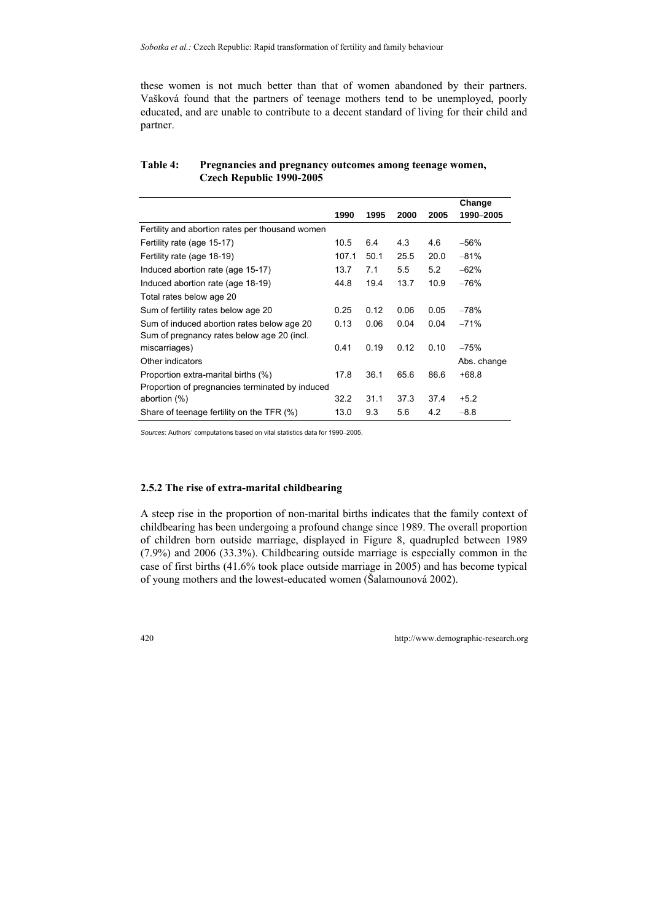these women is not much better than that of women abandoned by their partners. Vašková found that the partners of teenage mothers tend to be unemployed, poorly educated, and are unable to contribute to a decent standard of living for their child and partner.

|                                                 |       |      |      |      | Change      |
|-------------------------------------------------|-------|------|------|------|-------------|
|                                                 | 1990  | 1995 | 2000 | 2005 | 1990–2005   |
| Fertility and abortion rates per thousand women |       |      |      |      |             |
| Fertility rate (age 15-17)                      | 10.5  | 6.4  | 4.3  | 4.6  | $-56%$      |
| Fertility rate (age 18-19)                      | 107.1 | 50.1 | 25.5 | 20.0 | $-81%$      |
| Induced abortion rate (age 15-17)               | 13.7  | 7.1  | 5.5  | 5.2  | $-62%$      |
| Induced abortion rate (age 18-19)               | 44.8  | 19.4 | 13.7 | 10.9 | $-76%$      |
| Total rates below age 20                        |       |      |      |      |             |
| Sum of fertility rates below age 20             | 0.25  | 0.12 | 0.06 | 0.05 | $-78%$      |
| Sum of induced abortion rates below age 20      | 0.13  | 0.06 | 0.04 | 0.04 | $-71%$      |
| Sum of pregnancy rates below age 20 (incl.      |       |      |      |      |             |
| miscarriages)                                   | 0.41  | 0.19 | 0.12 | 0.10 | $-75%$      |
| Other indicators                                |       |      |      |      | Abs. change |
| Proportion extra-marital births (%)             | 17.8  | 36.1 | 65.6 | 86.6 | $+68.8$     |
| Proportion of pregnancies terminated by induced |       |      |      |      |             |
| abortion $(\%)$                                 | 32.2  | 31.1 | 37.3 | 37.4 | $+5.2$      |
| Share of teenage fertility on the TFR (%)       | 13.0  | 9.3  | 5.6  | 4.2  | $-8.8$      |

#### **Table 4: Pregnancies and pregnancy outcomes among teenage women, Czech Republic 1990-2005**

*Sources*: Authors' computations based on vital statistics data for 1990–2005.

#### **2.5.2 The rise of extra-marital childbearing**

A steep rise in the proportion of non-marital births indicates that the family context of childbearing has been undergoing a profound change since 1989. The overall proportion of children born outside marriage, displayed in Figure 8, quadrupled between 1989 (7.9%) and 2006 (33.3%). Childbearing outside marriage is especially common in the case of first births (41.6% took place outside marriage in 2005) and has become typical of young mothers and the lowest-educated women (Šalamounová 2002).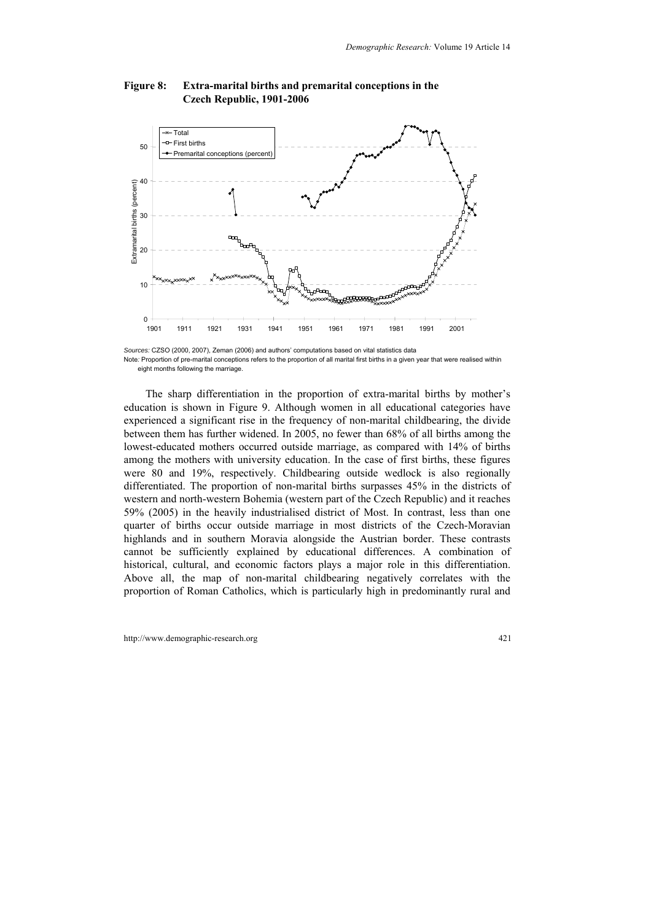

#### **Figure 8: Extra-marital births and premarital conceptions in the Czech Republic, 1901-2006**

*Sources:* CZSO (2000, 2007), Zeman (2006) and authors' computations based on vital statistics data Note*:* Proportion of pre-marital conceptions refers to the proportion of all marital first births in a given year that were realised within eight months following the marriage.

The sharp differentiation in the proportion of extra-marital births by mother's education is shown in Figure 9. Although women in all educational categories have experienced a significant rise in the frequency of non-marital childbearing, the divide between them has further widened. In 2005, no fewer than 68% of all births among the lowest-educated mothers occurred outside marriage, as compared with 14% of births among the mothers with university education. In the case of first births, these figures were 80 and 19%, respectively. Childbearing outside wedlock is also regionally differentiated. The proportion of non-marital births surpasses 45% in the districts of western and north-western Bohemia (western part of the Czech Republic) and it reaches 59% (2005) in the heavily industrialised district of Most. In contrast, less than one quarter of births occur outside marriage in most districts of the Czech-Moravian highlands and in southern Moravia alongside the Austrian border. These contrasts cannot be sufficiently explained by educational differences. A combination of historical, cultural, and economic factors plays a major role in this differentiation. Above all, the map of non-marital childbearing negatively correlates with the proportion of Roman Catholics, which is particularly high in predominantly rural and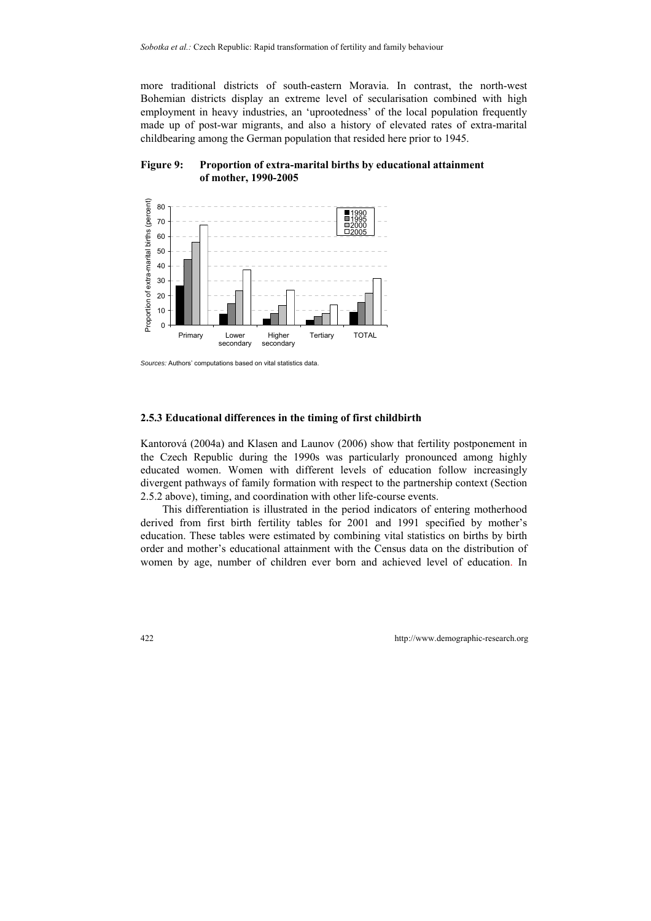more traditional districts of south-eastern Moravia. In contrast, the north-west Bohemian districts display an extreme level of secularisation combined with high employment in heavy industries, an 'uprootedness' of the local population frequently made up of post-war migrants, and also a history of elevated rates of extra-marital childbearing among the German population that resided here prior to 1945.

#### **Figure 9: Proportion of extra-marital births by educational attainment of mother, 1990-2005**



*Sources:* Authors' computations based on vital statistics data.

#### **2.5.3 Educational differences in the timing of first childbirth**

Kantorová (2004a) and Klasen and Launov (2006) show that fertility postponement in the Czech Republic during the 1990s was particularly pronounced among highly educated women. Women with different levels of education follow increasingly divergent pathways of family formation with respect to the partnership context (Section 2.5.2 above), timing, and coordination with other life-course events.

This differentiation is illustrated in the period indicators of entering motherhood derived from first birth fertility tables for 2001 and 1991 specified by mother's education. These tables were estimated by combining vital statistics on births by birth order and mother's educational attainment with the Census data on the distribution of women by age, number of children ever born and achieved level of education. In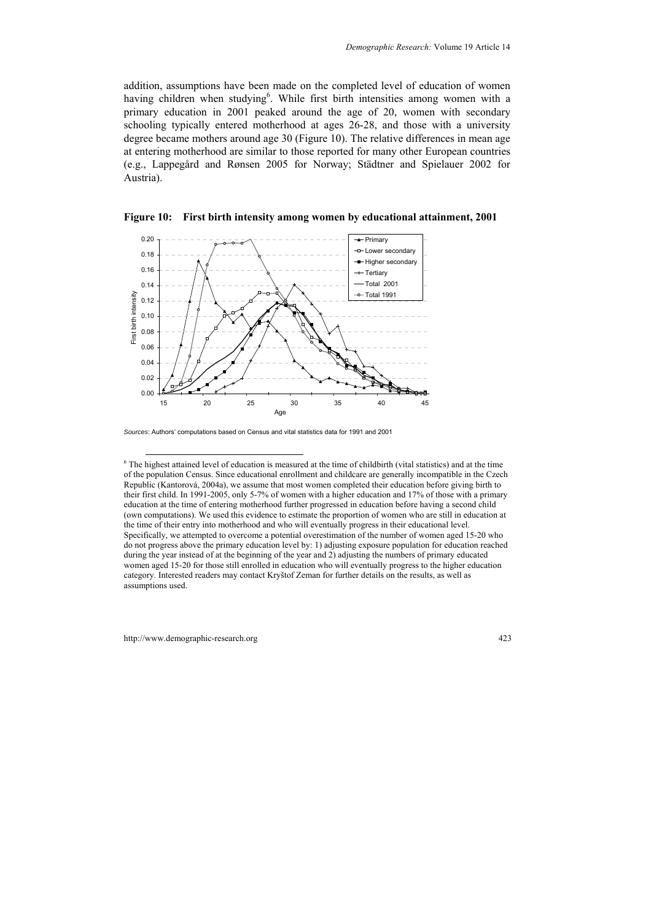addition, assumptions have been made on the completed level of education of women having children when studying<sup>6</sup>. While first birth intensities among women with a primary education in 2001 peaked around the age of 20, women with secondary schooling typically entered motherhood at ages 26-28, and those with a university degree became mothers around age 30 (Figure 10). The relative differences in mean age at entering motherhood are similar to those reported for many other European countries (e.g., Lappegård and Rønsen 2005 for Norway; Städtner and Spielauer 2002 for Austria).



**Figure 10: First birth intensity among women by educational attainment, 2001** 

*Sources:* Authors' computations based on Census and vital statistics data for 1991 and 2001

<sup>&</sup>lt;sup>6</sup> The highest attained level of education is measured at the time of childbirth (vital statistics) and at the time of the population Census. Since educational enrollment and childcare are generally incompatible in the Czech Republic (Kantorová, 2004a), we assume that most women completed their education before giving birth to their first child. In 1991-2005, only 5-7% of women with a higher education and 17% of those with a primary education at the time of entering motherhood further progressed in education before having a second child (own computations). We used this evidence to estimate the proportion of women who are still in education at the time of their entry into motherhood and who will eventually progress in their educational level. Specifically, we attempted to overcome a potential overestimation of the number of women aged 15-20 who do not progress above the primary education level by: 1) adjusting exposure population for education reached during the year instead of at the beginning of the year and 2) adjusting the numbers of primary educated women aged 15-20 for those still enrolled in education who will eventually progress to the higher education category. Interested readers may contact Kryštof Zeman for further details on the results, as well as assumptions used.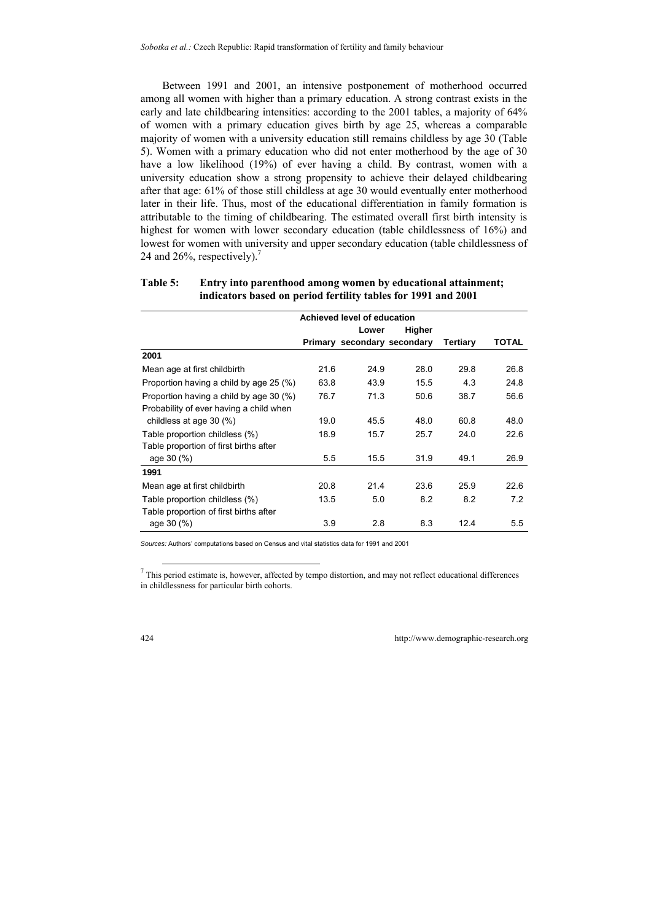*Sobotka et al.:* Czech Republic: Rapid transformation of fertility and family behaviour

Between 1991 and 2001, an intensive postponement of motherhood occurred among all women with higher than a primary education. A strong contrast exists in the early and late childbearing intensities: according to the 2001 tables, a majority of 64% of women with a primary education gives birth by age 25, whereas a comparable majority of women with a university education still remains childless by age 30 (Table 5). Women with a primary education who did not enter motherhood by the age of 30 have a low likelihood (19%) of ever having a child. By contrast, women with a university education show a strong propensity to achieve their delayed childbearing after that age: 61% of those still childless at age 30 would eventually enter motherhood later in their life. Thus, most of the educational differentiation in family formation is attributable to the timing of childbearing. The estimated overall first birth intensity is highest for women with lower secondary education (table childlessness of 16%) and lowest for women with university and upper secondary education (table childlessness of 24 and 26%, respectively).<sup>7</sup>

|                                         | Achieved level of education |                             |        |          |       |
|-----------------------------------------|-----------------------------|-----------------------------|--------|----------|-------|
|                                         |                             | Lower                       | Higher |          |       |
|                                         |                             | Primary secondary secondary |        | Tertiary | TOTAL |
| 2001                                    |                             |                             |        |          |       |
| Mean age at first childbirth            | 21.6                        | 24.9                        | 28.0   | 29.8     | 26.8  |
| Proportion having a child by age 25 (%) | 63.8                        | 43.9                        | 15.5   | 4.3      | 24.8  |
| Proportion having a child by age 30 (%) | 76.7                        | 71.3                        | 50.6   | 38.7     | 56.6  |
| Probability of ever having a child when |                             |                             |        |          |       |
| childless at age 30 (%)                 | 19.0                        | 45.5                        | 48.0   | 60.8     | 48.0  |
| Table proportion childless (%)          | 18.9                        | 15.7                        | 25.7   | 24.0     | 22.6  |
| Table proportion of first births after  |                             |                             |        |          |       |
| age 30 (%)                              | 5.5                         | 15.5                        | 31.9   | 49.1     | 26.9  |
| 1991                                    |                             |                             |        |          |       |
| Mean age at first childbirth            | 20.8                        | 21.4                        | 23.6   | 25.9     | 22.6  |
| Table proportion childless (%)          | 13.5                        | 5.0                         | 8.2    | 8.2      | 7.2   |
| Table proportion of first births after  |                             |                             |        |          |       |
| age 30 (%)                              | 3.9                         | 2.8                         | 8.3    | 12.4     | 5.5   |

**Table 5: Entry into parenthood among women by educational attainment; indicators based on period fertility tables for 1991 and 2001** 

*Sources:* Authors' computations based on Census and vital statistics data for 1991 and 2001

This period estimate is, however, affected by tempo distortion, and may not reflect educational differences in childlessness for particular birth cohorts.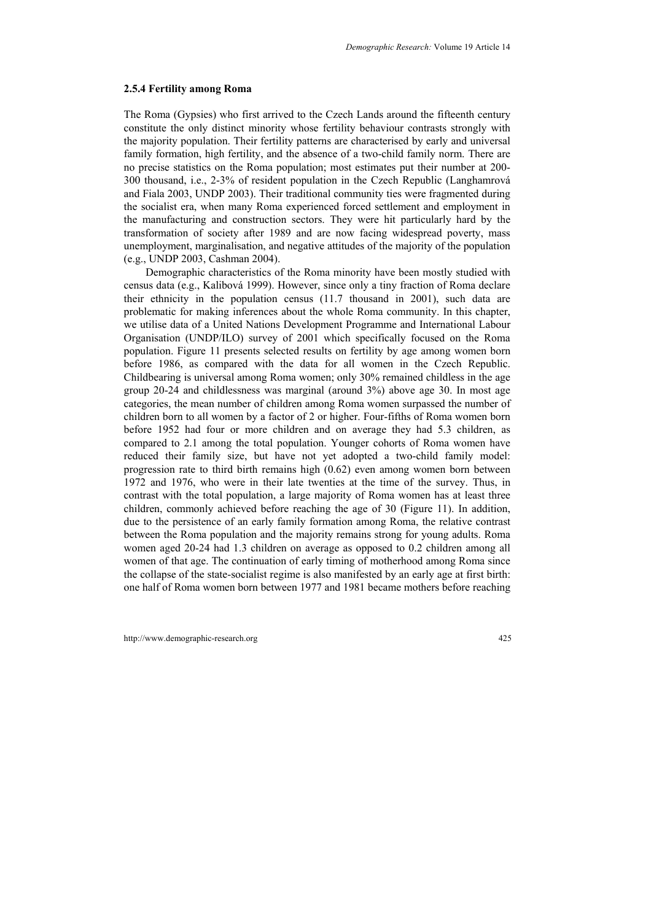#### **2.5.4 Fertility among Roma**

The Roma (Gypsies) who first arrived to the Czech Lands around the fifteenth century constitute the only distinct minority whose fertility behaviour contrasts strongly with the majority population. Their fertility patterns are characterised by early and universal family formation, high fertility, and the absence of a two-child family norm. There are no precise statistics on the Roma population; most estimates put their number at 200- 300 thousand, i.e., 2-3% of resident population in the Czech Republic (Langhamrová and Fiala 2003, UNDP 2003). Their traditional community ties were fragmented during the socialist era, when many Roma experienced forced settlement and employment in the manufacturing and construction sectors. They were hit particularly hard by the transformation of society after 1989 and are now facing widespread poverty, mass unemployment, marginalisation, and negative attitudes of the majority of the population (e.g., UNDP 2003, Cashman 2004).

Demographic characteristics of the Roma minority have been mostly studied with census data (e.g., Kalibová 1999). However, since only a tiny fraction of Roma declare their ethnicity in the population census (11.7 thousand in 2001), such data are problematic for making inferences about the whole Roma community. In this chapter, we utilise data of a United Nations Development Programme and International Labour Organisation (UNDP/ILO) survey of 2001 which specifically focused on the Roma population. Figure 11 presents selected results on fertility by age among women born before 1986, as compared with the data for all women in the Czech Republic. Childbearing is universal among Roma women; only 30% remained childless in the age group 20-24 and childlessness was marginal (around 3%) above age 30. In most age categories, the mean number of children among Roma women surpassed the number of children born to all women by a factor of 2 or higher. Four-fifths of Roma women born before 1952 had four or more children and on average they had 5.3 children, as compared to 2.1 among the total population. Younger cohorts of Roma women have reduced their family size, but have not yet adopted a two-child family model: progression rate to third birth remains high (0.62) even among women born between 1972 and 1976, who were in their late twenties at the time of the survey. Thus, in contrast with the total population, a large majority of Roma women has at least three children, commonly achieved before reaching the age of 30 (Figure 11). In addition, due to the persistence of an early family formation among Roma, the relative contrast between the Roma population and the majority remains strong for young adults. Roma women aged 20-24 had 1.3 children on average as opposed to 0.2 children among all women of that age. The continuation of early timing of motherhood among Roma since the collapse of the state-socialist regime is also manifested by an early age at first birth: one half of Roma women born between 1977 and 1981 became mothers before reaching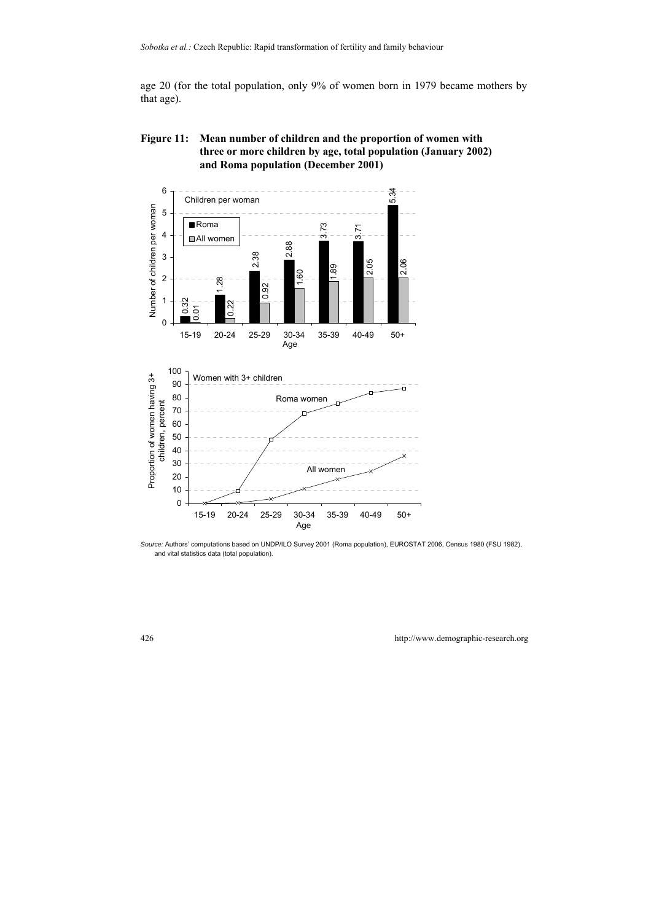age 20 (for the total population, only 9% of women born in 1979 became mothers by that age).

### **Figure 11: Mean number of children and the proportion of women with three or more children by age, total population (January 2002) and Roma population (December 2001)**



*Source:* Authors' computations based on UNDP/ILO Survey 2001 (Roma population), EUROSTAT 2006, Census 1980 (FSU 1982), and vital statistics data (total population).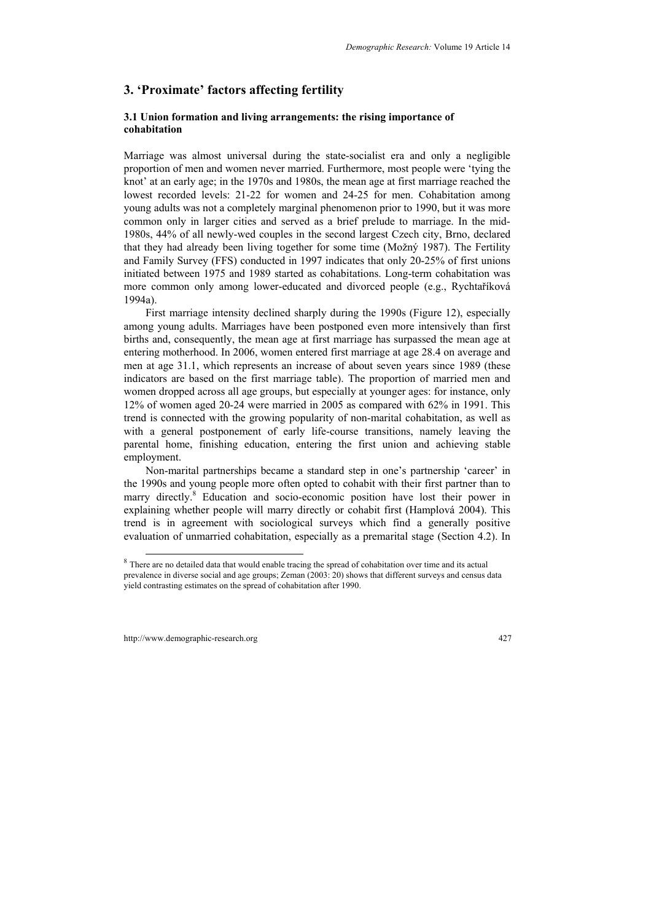# **3. 'Proximate' factors affecting fertility**

### **3.1 Union formation and living arrangements: the rising importance of cohabitation**

Marriage was almost universal during the state-socialist era and only a negligible proportion of men and women never married. Furthermore, most people were 'tying the knot' at an early age; in the 1970s and 1980s, the mean age at first marriage reached the lowest recorded levels: 21-22 for women and 24-25 for men. Cohabitation among young adults was not a completely marginal phenomenon prior to 1990, but it was more common only in larger cities and served as a brief prelude to marriage. In the mid-1980s, 44% of all newly-wed couples in the second largest Czech city, Brno, declared that they had already been living together for some time (Možný 1987). The Fertility and Family Survey (FFS) conducted in 1997 indicates that only 20-25% of first unions initiated between 1975 and 1989 started as cohabitations. Long-term cohabitation was more common only among lower-educated and divorced people (e.g., Rychtaříková 1994a).

First marriage intensity declined sharply during the 1990s (Figure 12), especially among young adults. Marriages have been postponed even more intensively than first births and, consequently, the mean age at first marriage has surpassed the mean age at entering motherhood. In 2006, women entered first marriage at age 28.4 on average and men at age 31.1, which represents an increase of about seven years since 1989 (these indicators are based on the first marriage table). The proportion of married men and women dropped across all age groups, but especially at younger ages: for instance, only 12% of women aged 20-24 were married in 2005 as compared with 62% in 1991. This trend is connected with the growing popularity of non-marital cohabitation, as well as with a general postponement of early life-course transitions, namely leaving the parental home, finishing education, entering the first union and achieving stable employment.

Non-marital partnerships became a standard step in one's partnership 'career' in the 1990s and young people more often opted to cohabit with their first partner than to marry directly.<sup>8</sup> Education and socio-economic position have lost their power in explaining whether people will marry directly or cohabit first (Hamplová 2004). This trend is in agreement with sociological surveys which find a generally positive evaluation of unmarried cohabitation, especially as a premarital stage (Section 4.2). In

<sup>&</sup>lt;sup>8</sup> There are no detailed data that would enable tracing the spread of cohabitation over time and its actual prevalence in diverse social and age groups; Zeman (2003: 20) shows that different surveys and census data yield contrasting estimates on the spread of cohabitation after 1990.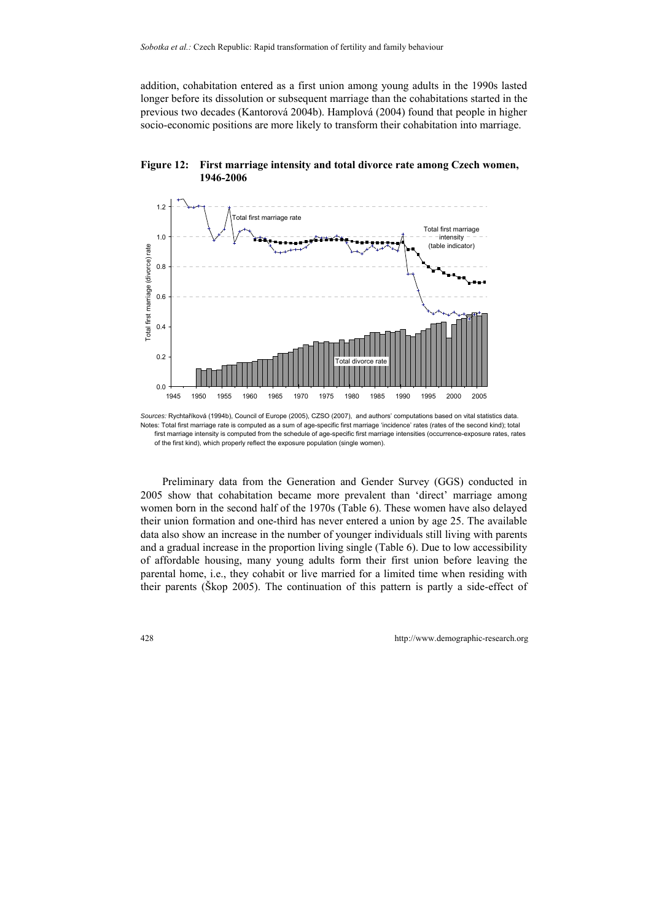addition, cohabitation entered as a first union among young adults in the 1990s lasted longer before its dissolution or subsequent marriage than the cohabitations started in the previous two decades (Kantorová 2004b). Hamplová (2004) found that people in higher socio-economic positions are more likely to transform their cohabitation into marriage.

#### **Figure 12: First marriage intensity and total divorce rate among Czech women, 1946-2006**



*Sources:* Rychtaříková (1994b), Council of Europe (2005), CZSO (2007), and authors' computations based on vital statistics data. Notes: Total first marriage rate is computed as a sum of age-specific first marriage 'incidence' rates (rates of the second kind); total first marriage intensity is computed from the schedule of age-specific first marriage intensities (occurrence-exposure rates, rates of the first kind), which properly reflect the exposure population (single women).

Preliminary data from the Generation and Gender Survey (GGS) conducted in 2005 show that cohabitation became more prevalent than 'direct' marriage among women born in the second half of the 1970s (Table 6). These women have also delayed their union formation and one-third has never entered a union by age 25. The available data also show an increase in the number of younger individuals still living with parents and a gradual increase in the proportion living single (Table 6). Due to low accessibility of affordable housing, many young adults form their first union before leaving the parental home, i.e., they cohabit or live married for a limited time when residing with their parents (Škop 2005). The continuation of this pattern is partly a side-effect of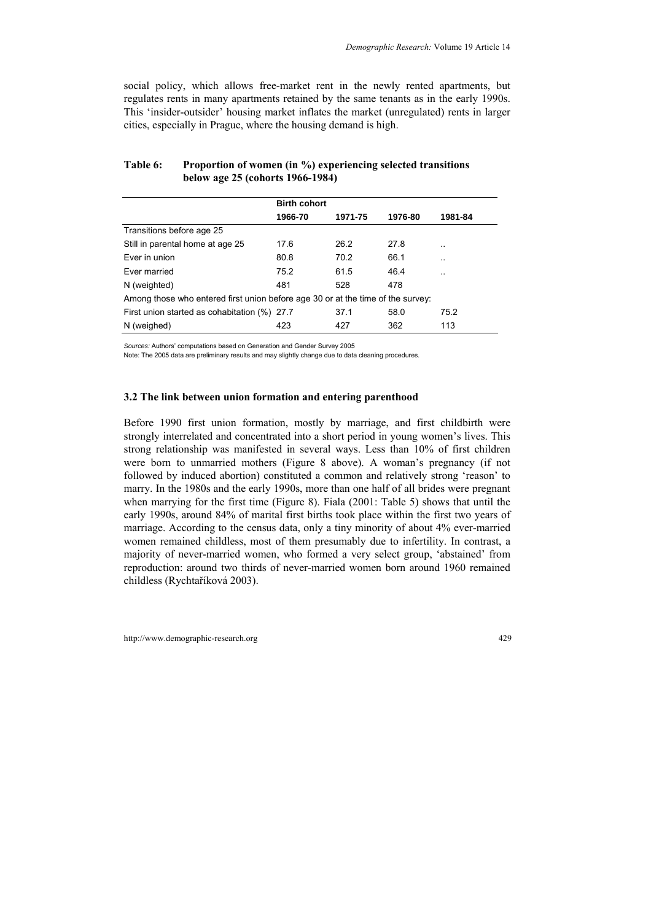social policy, which allows free-market rent in the newly rented apartments, but regulates rents in many apartments retained by the same tenants as in the early 1990s. This 'insider-outsider' housing market inflates the market (unregulated) rents in larger cities, especially in Prague, where the housing demand is high.

|                                                                                 |         | <b>Birth cohort</b> |         |         |  |  |  |  |
|---------------------------------------------------------------------------------|---------|---------------------|---------|---------|--|--|--|--|
|                                                                                 | 1966-70 | 1971-75             | 1976-80 | 1981-84 |  |  |  |  |
| Transitions before age 25                                                       |         |                     |         |         |  |  |  |  |
| Still in parental home at age 25                                                | 17.6    | 26.2                | 27.8    | . .     |  |  |  |  |
| Ever in union                                                                   | 80.8    | 70.2                | 66.1    |         |  |  |  |  |
| Ever married                                                                    | 75.2    | 61.5                | 46.4    |         |  |  |  |  |
| N (weighted)                                                                    | 481     | 528                 | 478     |         |  |  |  |  |
| Among those who entered first union before age 30 or at the time of the survey: |         |                     |         |         |  |  |  |  |
| First union started as cohabitation (%) 27.7                                    |         | 37.1                | 58.0    | 75.2    |  |  |  |  |
| N (weighed)                                                                     | 423     | 427                 | 362     | 113     |  |  |  |  |

### **Table 6: Proportion of women (in %) experiencing selected transitions below age 25 (cohorts 1966-1984)**

*Sources:* Authors' computations based on Generation and Gender Survey 2005

Note: The 2005 data are preliminary results and may slightly change due to data cleaning procedures.

#### **3.2 The link between union formation and entering parenthood**

Before 1990 first union formation, mostly by marriage, and first childbirth were strongly interrelated and concentrated into a short period in young women's lives. This strong relationship was manifested in several ways. Less than 10% of first children were born to unmarried mothers (Figure 8 above). A woman's pregnancy (if not followed by induced abortion) constituted a common and relatively strong 'reason' to marry. In the 1980s and the early 1990s, more than one half of all brides were pregnant when marrying for the first time (Figure 8). Fiala (2001: Table 5) shows that until the early 1990s, around 84% of marital first births took place within the first two years of marriage. According to the census data, only a tiny minority of about 4% ever-married women remained childless, most of them presumably due to infertility. In contrast, a majority of never-married women, who formed a very select group, 'abstained' from reproduction: around two thirds of never-married women born around 1960 remained childless (Rychtaříková 2003).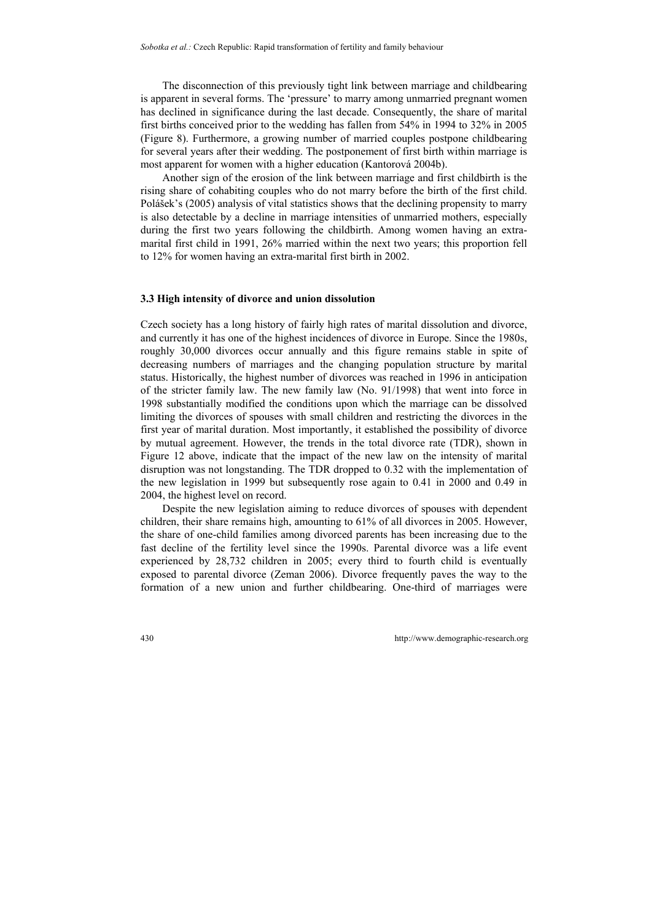The disconnection of this previously tight link between marriage and childbearing is apparent in several forms. The 'pressure' to marry among unmarried pregnant women has declined in significance during the last decade. Consequently, the share of marital first births conceived prior to the wedding has fallen from 54% in 1994 to 32% in 2005 (Figure 8). Furthermore, a growing number of married couples postpone childbearing for several years after their wedding. The postponement of first birth within marriage is most apparent for women with a higher education (Kantorová 2004b).

Another sign of the erosion of the link between marriage and first childbirth is the rising share of cohabiting couples who do not marry before the birth of the first child. Polášek's (2005) analysis of vital statistics shows that the declining propensity to marry is also detectable by a decline in marriage intensities of unmarried mothers, especially during the first two years following the childbirth. Among women having an extramarital first child in 1991, 26% married within the next two years; this proportion fell to 12% for women having an extra-marital first birth in 2002.

#### **3.3 High intensity of divorce and union dissolution**

Czech society has a long history of fairly high rates of marital dissolution and divorce, and currently it has one of the highest incidences of divorce in Europe. Since the 1980s, roughly 30,000 divorces occur annually and this figure remains stable in spite of decreasing numbers of marriages and the changing population structure by marital status. Historically, the highest number of divorces was reached in 1996 in anticipation of the stricter family law. The new family law (No. 91/1998) that went into force in 1998 substantially modified the conditions upon which the marriage can be dissolved limiting the divorces of spouses with small children and restricting the divorces in the first year of marital duration. Most importantly, it established the possibility of divorce by mutual agreement. However, the trends in the total divorce rate (TDR), shown in Figure 12 above, indicate that the impact of the new law on the intensity of marital disruption was not longstanding. The TDR dropped to 0.32 with the implementation of the new legislation in 1999 but subsequently rose again to 0.41 in 2000 and 0.49 in 2004, the highest level on record.

Despite the new legislation aiming to reduce divorces of spouses with dependent children, their share remains high, amounting to 61% of all divorces in 2005. However, the share of one-child families among divorced parents has been increasing due to the fast decline of the fertility level since the 1990s. Parental divorce was a life event experienced by 28,732 children in 2005; every third to fourth child is eventually exposed to parental divorce (Zeman 2006). Divorce frequently paves the way to the formation of a new union and further childbearing. One-third of marriages were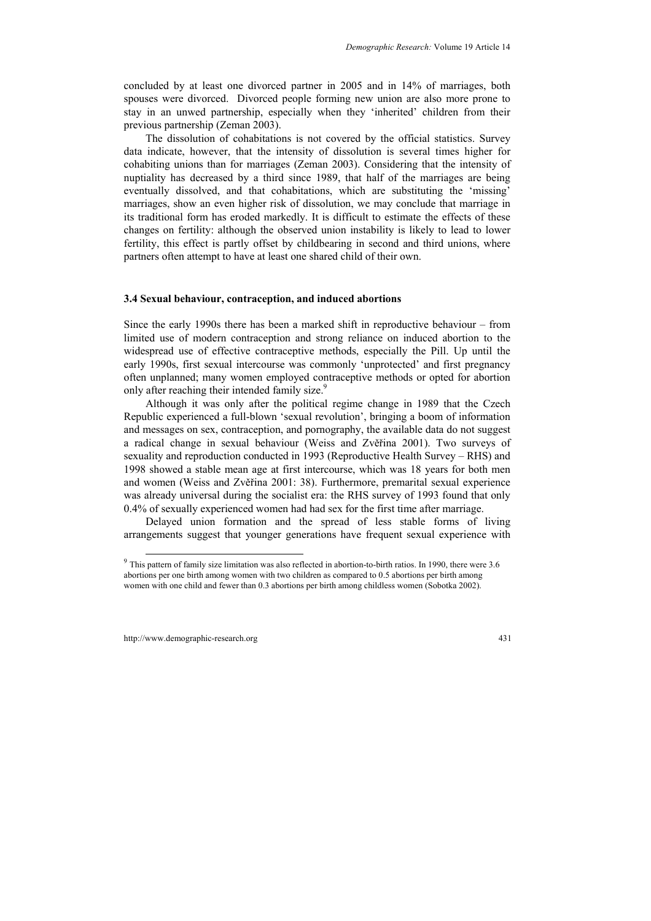concluded by at least one divorced partner in 2005 and in 14% of marriages, both spouses were divorced. Divorced people forming new union are also more prone to stay in an unwed partnership, especially when they 'inherited' children from their previous partnership (Zeman 2003).

The dissolution of cohabitations is not covered by the official statistics. Survey data indicate, however, that the intensity of dissolution is several times higher for cohabiting unions than for marriages (Zeman 2003). Considering that the intensity of nuptiality has decreased by a third since 1989, that half of the marriages are being eventually dissolved, and that cohabitations, which are substituting the 'missing' marriages, show an even higher risk of dissolution, we may conclude that marriage in its traditional form has eroded markedly. It is difficult to estimate the effects of these changes on fertility: although the observed union instability is likely to lead to lower fertility, this effect is partly offset by childbearing in second and third unions, where partners often attempt to have at least one shared child of their own.

#### **3.4 Sexual behaviour, contraception, and induced abortions**

Since the early 1990s there has been a marked shift in reproductive behaviour – from limited use of modern contraception and strong reliance on induced abortion to the widespread use of effective contraceptive methods, especially the Pill. Up until the early 1990s, first sexual intercourse was commonly 'unprotected' and first pregnancy often unplanned; many women employed contraceptive methods or opted for abortion only after reaching their intended family size.<sup>9</sup>

Although it was only after the political regime change in 1989 that the Czech Republic experienced a full-blown 'sexual revolution', bringing a boom of information and messages on sex, contraception, and pornography, the available data do not suggest a radical change in sexual behaviour (Weiss and Zvěřina 2001). Two surveys of sexuality and reproduction conducted in 1993 (Reproductive Health Survey – RHS) and 1998 showed a stable mean age at first intercourse, which was 18 years for both men and women (Weiss and Zvěřina 2001: 38). Furthermore, premarital sexual experience was already universal during the socialist era: the RHS survey of 1993 found that only 0.4% of sexually experienced women had had sex for the first time after marriage.

Delayed union formation and the spread of less stable forms of living arrangements suggest that younger generations have frequent sexual experience with

 $9$  This pattern of family size limitation was also reflected in abortion-to-birth ratios. In 1990, there were 3.6 abortions per one birth among women with two children as compared to 0.5 abortions per birth among women with one child and fewer than 0.3 abortions per birth among childless women (Sobotka 2002).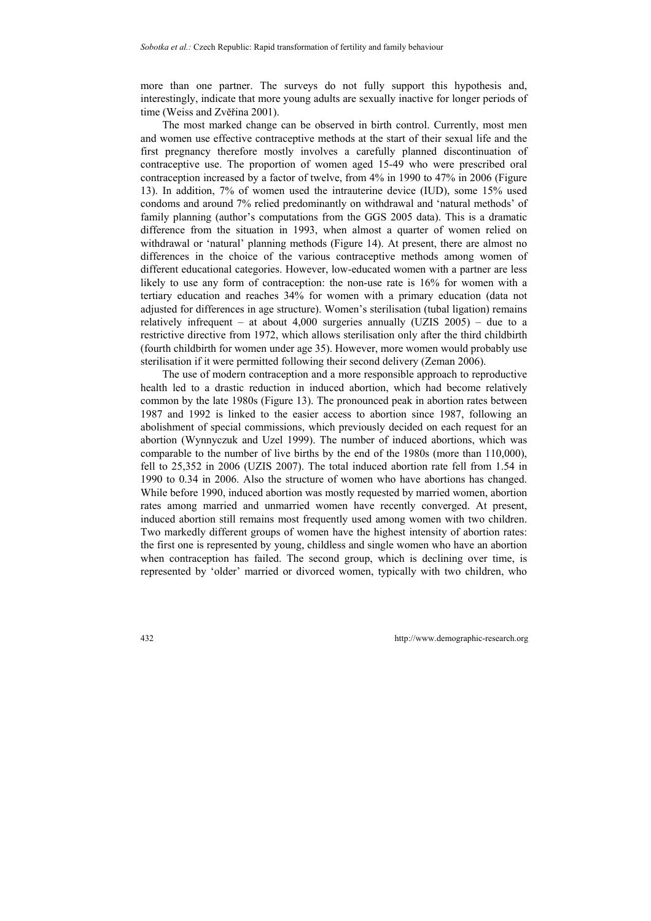more than one partner. The surveys do not fully support this hypothesis and, interestingly, indicate that more young adults are sexually inactive for longer periods of time (Weiss and Zvěřina 2001).

The most marked change can be observed in birth control. Currently, most men and women use effective contraceptive methods at the start of their sexual life and the first pregnancy therefore mostly involves a carefully planned discontinuation of contraceptive use. The proportion of women aged 15-49 who were prescribed oral contraception increased by a factor of twelve, from 4% in 1990 to 47% in 2006 (Figure 13). In addition, 7% of women used the intrauterine device (IUD), some 15% used condoms and around 7% relied predominantly on withdrawal and 'natural methods' of family planning (author's computations from the GGS 2005 data). This is a dramatic difference from the situation in 1993, when almost a quarter of women relied on withdrawal or 'natural' planning methods (Figure 14). At present, there are almost no differences in the choice of the various contraceptive methods among women of different educational categories. However, low-educated women with a partner are less likely to use any form of contraception: the non-use rate is 16% for women with a tertiary education and reaches 34% for women with a primary education (data not adjusted for differences in age structure). Women's sterilisation (tubal ligation) remains relatively infrequent – at about 4,000 surgeries annually (UZIS  $2005$ ) – due to a restrictive directive from 1972, which allows sterilisation only after the third childbirth (fourth childbirth for women under age 35). However, more women would probably use sterilisation if it were permitted following their second delivery (Zeman 2006).

The use of modern contraception and a more responsible approach to reproductive health led to a drastic reduction in induced abortion, which had become relatively common by the late 1980s (Figure 13). The pronounced peak in abortion rates between 1987 and 1992 is linked to the easier access to abortion since 1987, following an abolishment of special commissions, which previously decided on each request for an abortion (Wynnyczuk and Uzel 1999). The number of induced abortions, which was comparable to the number of live births by the end of the 1980s (more than 110,000), fell to 25,352 in 2006 (UZIS 2007). The total induced abortion rate fell from 1.54 in 1990 to 0.34 in 2006. Also the structure of women who have abortions has changed. While before 1990, induced abortion was mostly requested by married women, abortion rates among married and unmarried women have recently converged. At present, induced abortion still remains most frequently used among women with two children. Two markedly different groups of women have the highest intensity of abortion rates: the first one is represented by young, childless and single women who have an abortion when contraception has failed. The second group, which is declining over time, is represented by 'older' married or divorced women, typically with two children, who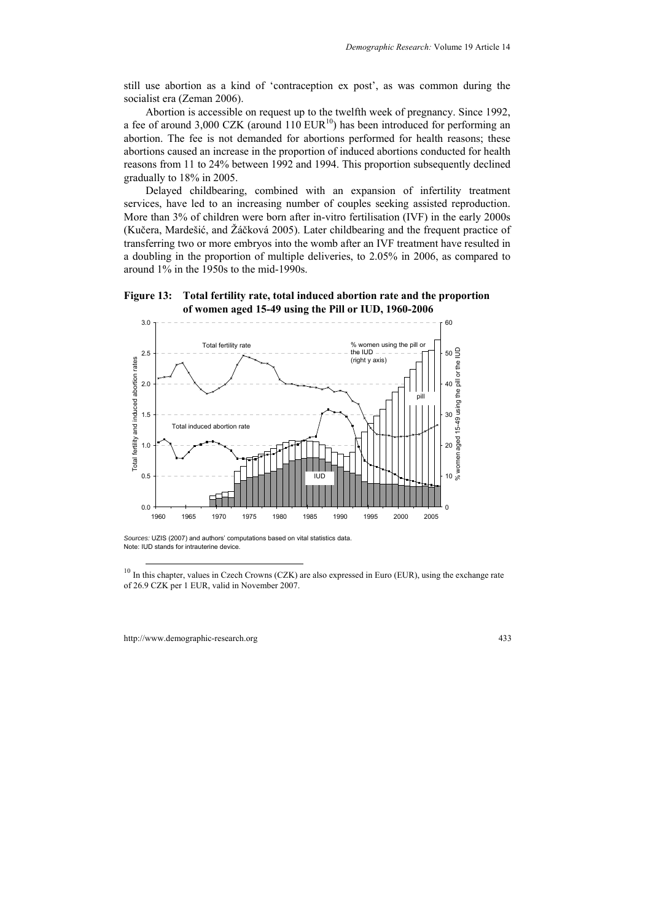still use abortion as a kind of 'contraception ex post', as was common during the socialist era (Zeman 2006).

Abortion is accessible on request up to the twelfth week of pregnancy. Since 1992, a fee of around 3,000 CZK (around  $110$  EUR<sup>10</sup>) has been introduced for performing an abortion. The fee is not demanded for abortions performed for health reasons; these abortions caused an increase in the proportion of induced abortions conducted for health reasons from 11 to 24% between 1992 and 1994. This proportion subsequently declined gradually to 18% in 2005.

Delayed childbearing, combined with an expansion of infertility treatment services, have led to an increasing number of couples seeking assisted reproduction. More than 3% of children were born after in-vitro fertilisation (IVF) in the early 2000s (Kučera, Mardešić, and Žáčková 2005). Later childbearing and the frequent practice of transferring two or more embryos into the womb after an IVF treatment have resulted in a doubling in the proportion of multiple deliveries, to 2.05% in 2006, as compared to around 1% in the 1950s to the mid-1990s.





*Sources:* UZIS (2007) and authors' computations based on vital statistics data. Note: IUD stands for intrauterine device.

 $10$  In this chapter, values in Czech Crowns (CZK) are also expressed in Euro (EUR), using the exchange rate of 26.9 CZK per 1 EUR, valid in November 2007.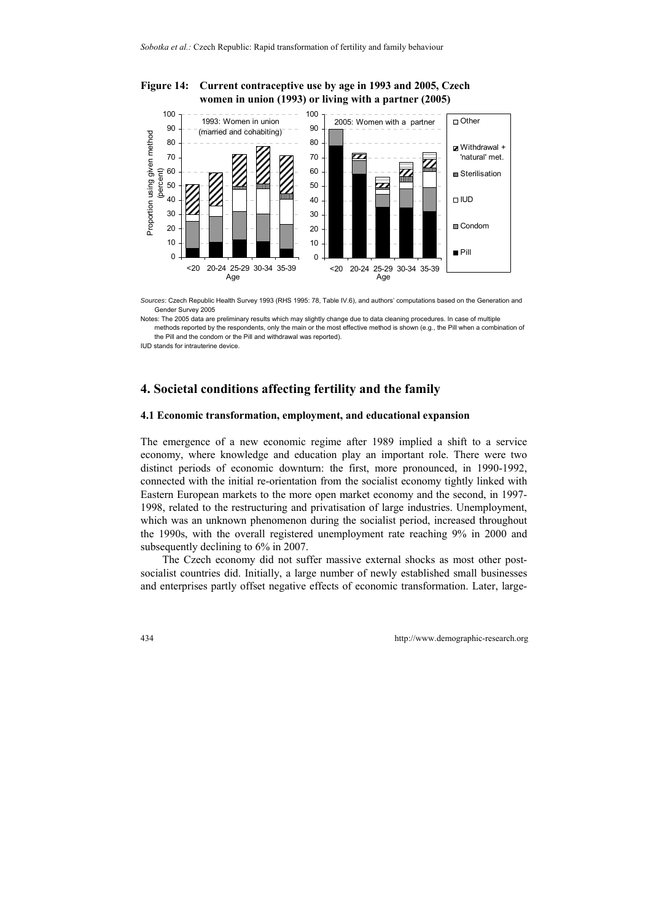#### **Figure 14: Current contraceptive use by age in 1993 and 2005, Czech women in union (1993) or living with a partner (2005)**



*Sources*: Czech Republic Health Survey 1993 (RHS 1995: 78, Table IV.6), and authors' computations based on the Generation and Gender Survey 2005

Notes: The 2005 data are preliminary results which may slightly change due to data cleaning procedures. In case of multiple methods reported by the respondents, only the main or the most effective method is shown (e.g., the Pill when a combination of the Pill and the condom or the Pill and withdrawal was reported).

IUD stands for intrauterine device.

# **4. Societal conditions affecting fertility and the family**

#### **4.1 Economic transformation, employment, and educational expansion**

The emergence of a new economic regime after 1989 implied a shift to a service economy, where knowledge and education play an important role. There were two distinct periods of economic downturn: the first, more pronounced, in 1990-1992, connected with the initial re-orientation from the socialist economy tightly linked with Eastern European markets to the more open market economy and the second, in 1997- 1998, related to the restructuring and privatisation of large industries. Unemployment, which was an unknown phenomenon during the socialist period, increased throughout the 1990s, with the overall registered unemployment rate reaching 9% in 2000 and subsequently declining to 6% in 2007.

The Czech economy did not suffer massive external shocks as most other postsocialist countries did. Initially, a large number of newly established small businesses and enterprises partly offset negative effects of economic transformation. Later, large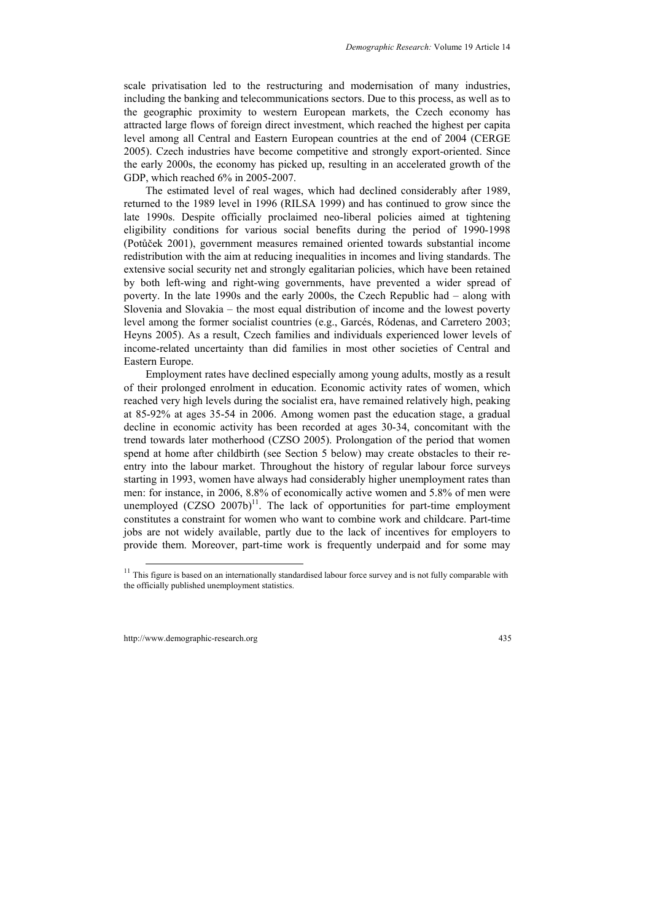scale privatisation led to the restructuring and modernisation of many industries, including the banking and telecommunications sectors. Due to this process, as well as to the geographic proximity to western European markets, the Czech economy has attracted large flows of foreign direct investment, which reached the highest per capita level among all Central and Eastern European countries at the end of 2004 (CERGE 2005). Czech industries have become competitive and strongly export-oriented. Since the early 2000s, the economy has picked up, resulting in an accelerated growth of the GDP, which reached 6% in 2005-2007.

The estimated level of real wages, which had declined considerably after 1989, returned to the 1989 level in 1996 (RILSA 1999) and has continued to grow since the late 1990s. Despite officially proclaimed neo-liberal policies aimed at tightening eligibility conditions for various social benefits during the period of 1990-1998 (Potůček 2001), government measures remained oriented towards substantial income redistribution with the aim at reducing inequalities in incomes and living standards. The extensive social security net and strongly egalitarian policies, which have been retained by both left-wing and right-wing governments, have prevented a wider spread of poverty. In the late 1990s and the early 2000s, the Czech Republic had – along with Slovenia and Slovakia – the most equal distribution of income and the lowest poverty level among the former socialist countries (e.g., Garcés, Ródenas, and Carretero 2003; Heyns 2005). As a result, Czech families and individuals experienced lower levels of income-related uncertainty than did families in most other societies of Central and Eastern Europe.

Employment rates have declined especially among young adults, mostly as a result of their prolonged enrolment in education. Economic activity rates of women, which reached very high levels during the socialist era, have remained relatively high, peaking at 85-92% at ages 35-54 in 2006. Among women past the education stage, a gradual decline in economic activity has been recorded at ages 30-34, concomitant with the trend towards later motherhood (CZSO 2005). Prolongation of the period that women spend at home after childbirth (see Section 5 below) may create obstacles to their reentry into the labour market. Throughout the history of regular labour force surveys starting in 1993, women have always had considerably higher unemployment rates than men: for instance, in 2006, 8.8% of economically active women and 5.8% of men were unemployed  $(CZSO 2007b)^{11}$ . The lack of opportunities for part-time employment constitutes a constraint for women who want to combine work and childcare. Part-time jobs are not widely available, partly due to the lack of incentives for employers to provide them. Moreover, part-time work is frequently underpaid and for some may

 $11$  This figure is based on an internationally standardised labour force survey and is not fully comparable with the officially published unemployment statistics.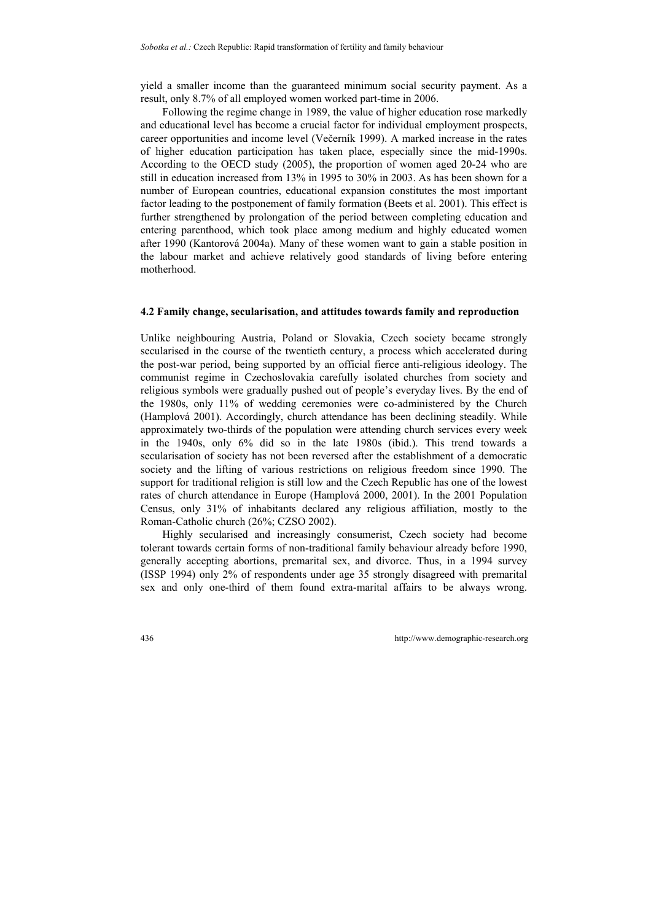yield a smaller income than the guaranteed minimum social security payment. As a result, only 8.7% of all employed women worked part-time in 2006.

Following the regime change in 1989, the value of higher education rose markedly and educational level has become a crucial factor for individual employment prospects, career opportunities and income level (Večerník 1999). A marked increase in the rates of higher education participation has taken place, especially since the mid-1990s. According to the OECD study (2005), the proportion of women aged 20-24 who are still in education increased from 13% in 1995 to 30% in 2003. As has been shown for a number of European countries, educational expansion constitutes the most important factor leading to the postponement of family formation (Beets et al. 2001). This effect is further strengthened by prolongation of the period between completing education and entering parenthood, which took place among medium and highly educated women after 1990 (Kantorová 2004a). Many of these women want to gain a stable position in the labour market and achieve relatively good standards of living before entering motherhood.

#### **4.2 Family change, secularisation, and attitudes towards family and reproduction**

Unlike neighbouring Austria, Poland or Slovakia, Czech society became strongly secularised in the course of the twentieth century, a process which accelerated during the post-war period, being supported by an official fierce anti-religious ideology. The communist regime in Czechoslovakia carefully isolated churches from society and religious symbols were gradually pushed out of people's everyday lives. By the end of the 1980s, only 11% of wedding ceremonies were co-administered by the Church (Hamplová 2001). Accordingly, church attendance has been declining steadily. While approximately two-thirds of the population were attending church services every week in the 1940s, only 6% did so in the late 1980s (ibid.). This trend towards a secularisation of society has not been reversed after the establishment of a democratic society and the lifting of various restrictions on religious freedom since 1990. The support for traditional religion is still low and the Czech Republic has one of the lowest rates of church attendance in Europe (Hamplová 2000, 2001). In the 2001 Population Census, only 31% of inhabitants declared any religious affiliation, mostly to the Roman-Catholic church (26%; CZSO 2002).

Highly secularised and increasingly consumerist, Czech society had become tolerant towards certain forms of non-traditional family behaviour already before 1990, generally accepting abortions, premarital sex, and divorce. Thus, in a 1994 survey (ISSP 1994) only 2% of respondents under age 35 strongly disagreed with premarital sex and only one-third of them found extra-marital affairs to be always wrong.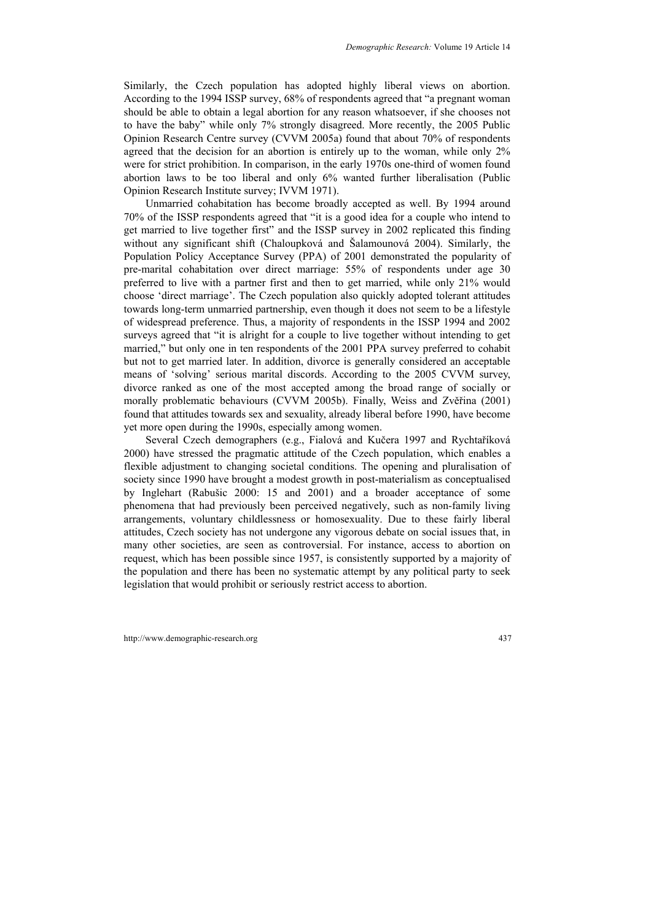Similarly, the Czech population has adopted highly liberal views on abortion. According to the 1994 ISSP survey, 68% of respondents agreed that "a pregnant woman should be able to obtain a legal abortion for any reason whatsoever, if she chooses not to have the baby" while only 7% strongly disagreed. More recently, the 2005 Public Opinion Research Centre survey (CVVM 2005a) found that about 70% of respondents agreed that the decision for an abortion is entirely up to the woman, while only 2% were for strict prohibition. In comparison, in the early 1970s one-third of women found abortion laws to be too liberal and only 6% wanted further liberalisation (Public Opinion Research Institute survey; IVVM 1971).

Unmarried cohabitation has become broadly accepted as well. By 1994 around 70% of the ISSP respondents agreed that "it is a good idea for a couple who intend to get married to live together first" and the ISSP survey in 2002 replicated this finding without any significant shift (Chaloupková and Šalamounová 2004). Similarly, the Population Policy Acceptance Survey (PPA) of 2001 demonstrated the popularity of pre-marital cohabitation over direct marriage: 55% of respondents under age 30 preferred to live with a partner first and then to get married, while only 21% would choose 'direct marriage'. The Czech population also quickly adopted tolerant attitudes towards long-term unmarried partnership, even though it does not seem to be a lifestyle of widespread preference. Thus, a majority of respondents in the ISSP 1994 and 2002 surveys agreed that "it is alright for a couple to live together without intending to get married," but only one in ten respondents of the 2001 PPA survey preferred to cohabit but not to get married later. In addition, divorce is generally considered an acceptable means of 'solving' serious marital discords. According to the 2005 CVVM survey, divorce ranked as one of the most accepted among the broad range of socially or morally problematic behaviours (CVVM 2005b). Finally, Weiss and Zvěřina (2001) found that attitudes towards sex and sexuality, already liberal before 1990, have become yet more open during the 1990s, especially among women.

Several Czech demographers (e.g., Fialová and Kučera 1997 and Rychtaříková 2000) have stressed the pragmatic attitude of the Czech population, which enables a flexible adjustment to changing societal conditions. The opening and pluralisation of society since 1990 have brought a modest growth in post-materialism as conceptualised by Inglehart (Rabušic 2000: 15 and 2001) and a broader acceptance of some phenomena that had previously been perceived negatively, such as non-family living arrangements, voluntary childlessness or homosexuality. Due to these fairly liberal attitudes, Czech society has not undergone any vigorous debate on social issues that, in many other societies, are seen as controversial. For instance, access to abortion on request, which has been possible since 1957, is consistently supported by a majority of the population and there has been no systematic attempt by any political party to seek legislation that would prohibit or seriously restrict access to abortion.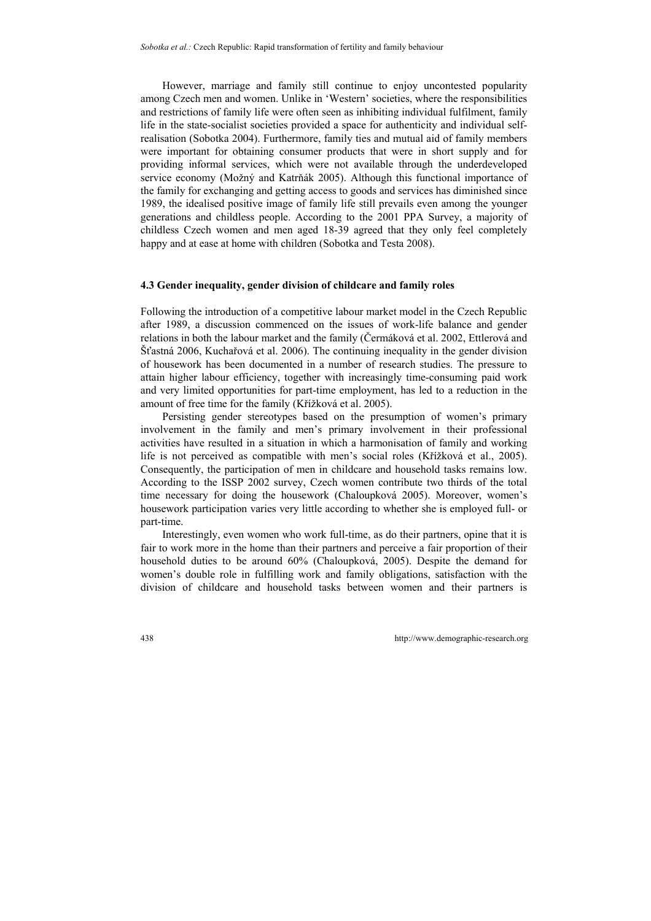However, marriage and family still continue to enjoy uncontested popularity among Czech men and women. Unlike in 'Western' societies, where the responsibilities and restrictions of family life were often seen as inhibiting individual fulfilment, family life in the state-socialist societies provided a space for authenticity and individual selfrealisation (Sobotka 2004). Furthermore, family ties and mutual aid of family members were important for obtaining consumer products that were in short supply and for providing informal services, which were not available through the underdeveloped service economy (Možný and Katrňák 2005). Although this functional importance of the family for exchanging and getting access to goods and services has diminished since 1989, the idealised positive image of family life still prevails even among the younger generations and childless people. According to the 2001 PPA Survey, a majority of childless Czech women and men aged 18-39 agreed that they only feel completely happy and at ease at home with children (Sobotka and Testa 2008).

#### **4.3 Gender inequality, gender division of childcare and family roles**

Following the introduction of a competitive labour market model in the Czech Republic after 1989, a discussion commenced on the issues of work-life balance and gender relations in both the labour market and the family (Čermáková et al. 2002, Ettlerová and Šťastná 2006, Kuchařová et al. 2006). The continuing inequality in the gender division of housework has been documented in a number of research studies. The pressure to attain higher labour efficiency, together with increasingly time-consuming paid work and very limited opportunities for part-time employment, has led to a reduction in the amount of free time for the family (Křížková et al. 2005).

Persisting gender stereotypes based on the presumption of women's primary involvement in the family and men's primary involvement in their professional activities have resulted in a situation in which a harmonisation of family and working life is not perceived as compatible with men's social roles (Křížková et al., 2005). Consequently, the participation of men in childcare and household tasks remains low. According to the ISSP 2002 survey, Czech women contribute two thirds of the total time necessary for doing the housework (Chaloupková 2005). Moreover, women's housework participation varies very little according to whether she is employed full- or part-time.

Interestingly, even women who work full-time, as do their partners, opine that it is fair to work more in the home than their partners and perceive a fair proportion of their household duties to be around 60% (Chaloupková, 2005). Despite the demand for women's double role in fulfilling work and family obligations, satisfaction with the division of childcare and household tasks between women and their partners is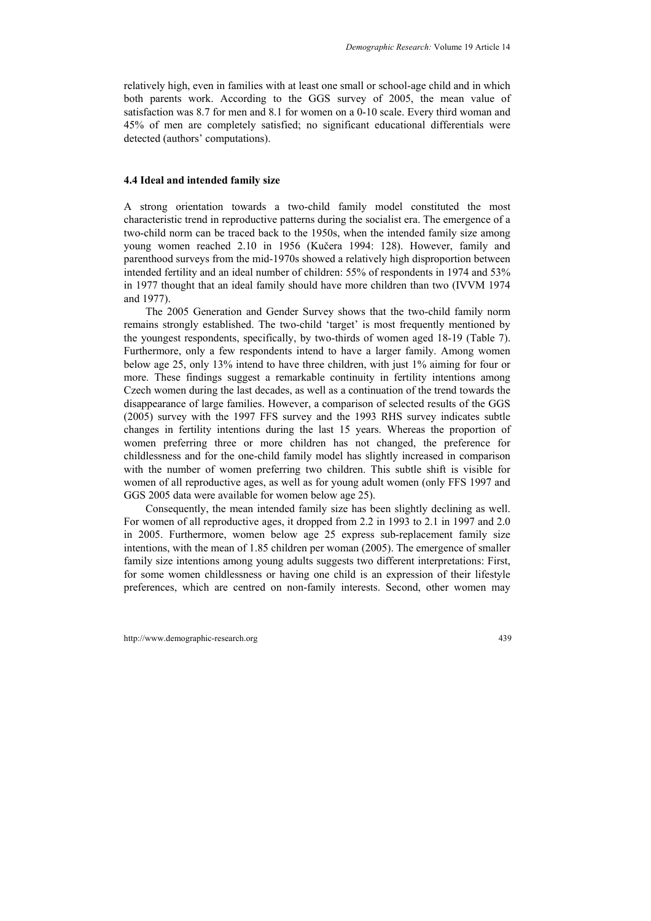relatively high, even in families with at least one small or school-age child and in which both parents work. According to the GGS survey of 2005, the mean value of satisfaction was 8.7 for men and 8.1 for women on a 0-10 scale. Every third woman and 45% of men are completely satisfied; no significant educational differentials were detected (authors' computations).

#### **4.4 Ideal and intended family size**

A strong orientation towards a two-child family model constituted the most characteristic trend in reproductive patterns during the socialist era. The emergence of a two-child norm can be traced back to the 1950s, when the intended family size among young women reached 2.10 in 1956 (Kučera 1994: 128). However, family and parenthood surveys from the mid-1970s showed a relatively high disproportion between intended fertility and an ideal number of children: 55% of respondents in 1974 and 53% in 1977 thought that an ideal family should have more children than two (IVVM 1974 and 1977).

The 2005 Generation and Gender Survey shows that the two-child family norm remains strongly established. The two-child 'target' is most frequently mentioned by the youngest respondents, specifically, by two-thirds of women aged 18-19 (Table 7). Furthermore, only a few respondents intend to have a larger family. Among women below age 25, only 13% intend to have three children, with just 1% aiming for four or more. These findings suggest a remarkable continuity in fertility intentions among Czech women during the last decades, as well as a continuation of the trend towards the disappearance of large families. However, a comparison of selected results of the GGS (2005) survey with the 1997 FFS survey and the 1993 RHS survey indicates subtle changes in fertility intentions during the last 15 years. Whereas the proportion of women preferring three or more children has not changed, the preference for childlessness and for the one-child family model has slightly increased in comparison with the number of women preferring two children. This subtle shift is visible for women of all reproductive ages, as well as for young adult women (only FFS 1997 and GGS 2005 data were available for women below age 25).

Consequently, the mean intended family size has been slightly declining as well. For women of all reproductive ages, it dropped from 2.2 in 1993 to 2.1 in 1997 and 2.0 in 2005. Furthermore, women below age 25 express sub-replacement family size intentions, with the mean of 1.85 children per woman (2005). The emergence of smaller family size intentions among young adults suggests two different interpretations: First, for some women childlessness or having one child is an expression of their lifestyle preferences, which are centred on non-family interests. Second, other women may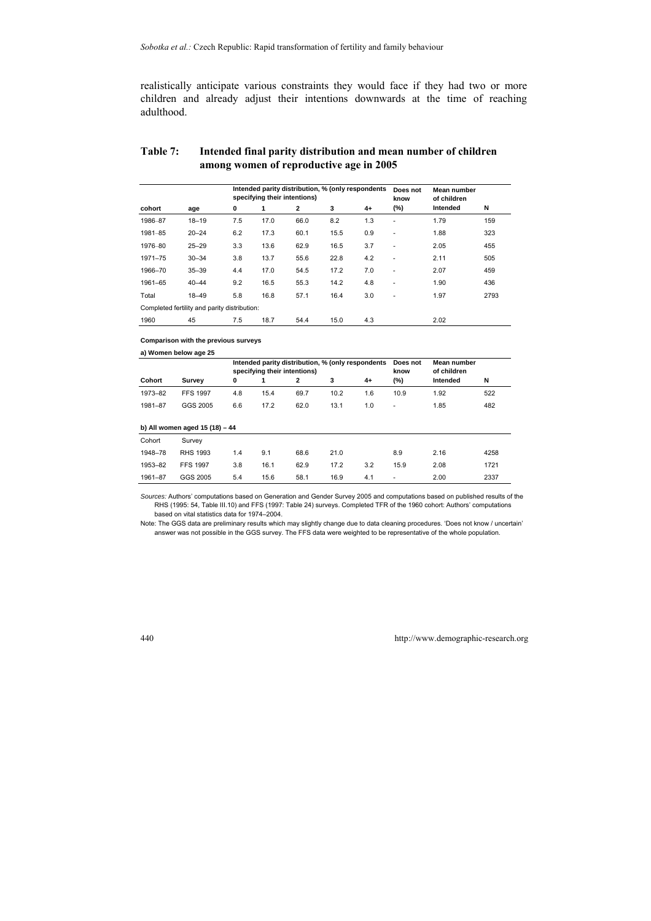realistically anticipate various constraints they would face if they had two or more children and already adjust their intentions downwards at the time of reaching adulthood.

### **Table 7: Intended final parity distribution and mean number of children among women of reproductive age in 2005**

|                                              |           |     | Intended parity distribution, % (only respondents<br>specifying their intentions) |              | Does not<br>know | Mean number<br>of children |        |          |      |
|----------------------------------------------|-----------|-----|-----------------------------------------------------------------------------------|--------------|------------------|----------------------------|--------|----------|------|
| cohort                                       | age       | 0   | 1                                                                                 | $\mathbf{2}$ | 3                | $4+$                       | $(\%)$ | Intended | N    |
| 1986-87                                      | $18 - 19$ | 7.5 | 17.0                                                                              | 66.0         | 8.2              | 1.3                        | ٠      | 1.79     | 159  |
| 1981-85                                      | $20 - 24$ | 6.2 | 17.3                                                                              | 60.1         | 15.5             | 0.9                        | ٠      | 1.88     | 323  |
| 1976-80                                      | $25 - 29$ | 3.3 | 13.6                                                                              | 62.9         | 16.5             | 3.7                        | ٠      | 2.05     | 455  |
| 1971-75                                      | $30 - 34$ | 3.8 | 13.7                                                                              | 55.6         | 22.8             | 4.2                        | ٠      | 2.11     | 505  |
| 1966-70                                      | $35 - 39$ | 4.4 | 17.0                                                                              | 54.5         | 17.2             | 7.0                        | ٠      | 2.07     | 459  |
| 1961-65                                      | $40 - 44$ | 9.2 | 16.5                                                                              | 55.3         | 14.2             | 4.8                        | ٠      | 1.90     | 436  |
| Total                                        | $18 - 49$ | 5.8 | 16.8                                                                              | 57.1         | 16.4             | 3.0                        |        | 1.97     | 2793 |
| Completed fertility and parity distribution: |           |     |                                                                                   |              |                  |                            |        |          |      |
| 1960                                         | 45        | 7.5 | 18.7                                                                              | 54.4         | 15.0             | 4.3                        |        | 2.02     |      |

#### **Comparison with the previous surveys**

**a) Women below age 25** 

|                                |                 |     |      | Intended parity distribution, % (only respondents<br>specifying their intentions) |      | Does not<br>know | Mean number<br>of children |          |      |  |
|--------------------------------|-----------------|-----|------|-----------------------------------------------------------------------------------|------|------------------|----------------------------|----------|------|--|
| Cohort                         | <b>Survey</b>   | 0   |      | $\mathbf{2}$                                                                      | 3    | $4+$             | $(\%)$                     | Intended | N    |  |
| 1973-82                        | <b>FFS 1997</b> | 4.8 | 15.4 | 69.7                                                                              | 10.2 | 1.6              | 10.9                       | 1.92     | 522  |  |
| 1981-87                        | GGS 2005        | 6.6 | 17.2 | 62.0                                                                              | 13.1 | 1.0              | ۰                          | 1.85     | 482  |  |
| b) All women aged 15 (18) - 44 |                 |     |      |                                                                                   |      |                  |                            |          |      |  |
| Cohort                         | Survey          |     |      |                                                                                   |      |                  |                            |          |      |  |
| 1948-78                        | <b>RHS 1993</b> | 1.4 | 9.1  | 68.6                                                                              | 21.0 |                  | 8.9                        | 2.16     | 4258 |  |
| 1953-82                        | <b>FFS 1997</b> | 3.8 | 16.1 | 62.9                                                                              | 17.2 | 3.2              | 15.9                       | 2.08     | 1721 |  |
| 1961-87                        | GGS 2005        | 5.4 | 15.6 | 58.1                                                                              | 16.9 | 4.1              |                            | 2.00     | 2337 |  |

*Sources:* Authors' computations based on Generation and Gender Survey 2005 and computations based on published results of the RHS (1995: 54, Table III.10) and FFS (1997: Table 24) surveys. Completed TFR of the 1960 cohort: Authors' computations based on vital statistics data for 1974–2004.

Note: The GGS data are preliminary results which may slightly change due to data cleaning procedures. 'Does not know / uncertain' answer was not possible in the GGS survey. The FFS data were weighted to be representative of the whole population.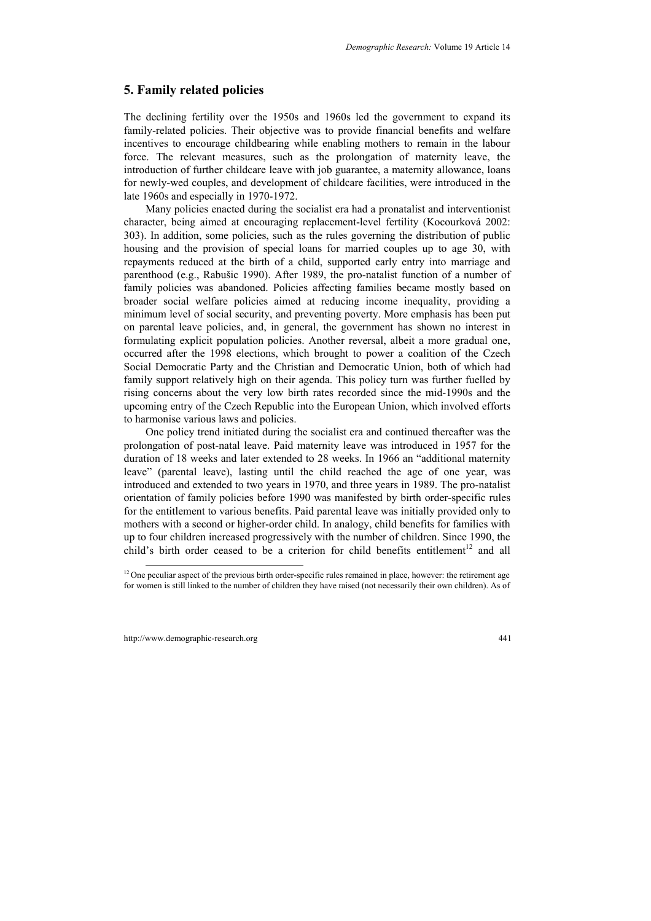### **5. Family related policies**

The declining fertility over the 1950s and 1960s led the government to expand its family-related policies. Their objective was to provide financial benefits and welfare incentives to encourage childbearing while enabling mothers to remain in the labour force. The relevant measures, such as the prolongation of maternity leave, the introduction of further childcare leave with job guarantee, a maternity allowance, loans for newly-wed couples, and development of childcare facilities, were introduced in the late 1960s and especially in 1970-1972.

Many policies enacted during the socialist era had a pronatalist and interventionist character, being aimed at encouraging replacement-level fertility (Kocourková 2002: 303). In addition, some policies, such as the rules governing the distribution of public housing and the provision of special loans for married couples up to age 30, with repayments reduced at the birth of a child, supported early entry into marriage and parenthood (e.g., Rabušic 1990). After 1989, the pro-natalist function of a number of family policies was abandoned. Policies affecting families became mostly based on broader social welfare policies aimed at reducing income inequality, providing a minimum level of social security, and preventing poverty. More emphasis has been put on parental leave policies, and, in general, the government has shown no interest in formulating explicit population policies. Another reversal, albeit a more gradual one, occurred after the 1998 elections, which brought to power a coalition of the Czech Social Democratic Party and the Christian and Democratic Union, both of which had family support relatively high on their agenda. This policy turn was further fuelled by rising concerns about the very low birth rates recorded since the mid-1990s and the upcoming entry of the Czech Republic into the European Union, which involved efforts to harmonise various laws and policies.

One policy trend initiated during the socialist era and continued thereafter was the prolongation of post-natal leave. Paid maternity leave was introduced in 1957 for the duration of 18 weeks and later extended to 28 weeks. In 1966 an "additional maternity leave" (parental leave), lasting until the child reached the age of one year, was introduced and extended to two years in 1970, and three years in 1989. The pro-natalist orientation of family policies before 1990 was manifested by birth order-specific rules for the entitlement to various benefits. Paid parental leave was initially provided only to mothers with a second or higher-order child. In analogy, child benefits for families with up to four children increased progressively with the number of children. Since 1990, the child's birth order ceased to be a criterion for child benefits entitlement<sup>12</sup> and all

 $12$  One peculiar aspect of the previous birth order-specific rules remained in place, however: the retirement age for women is still linked to the number of children they have raised (not necessarily their own children). As of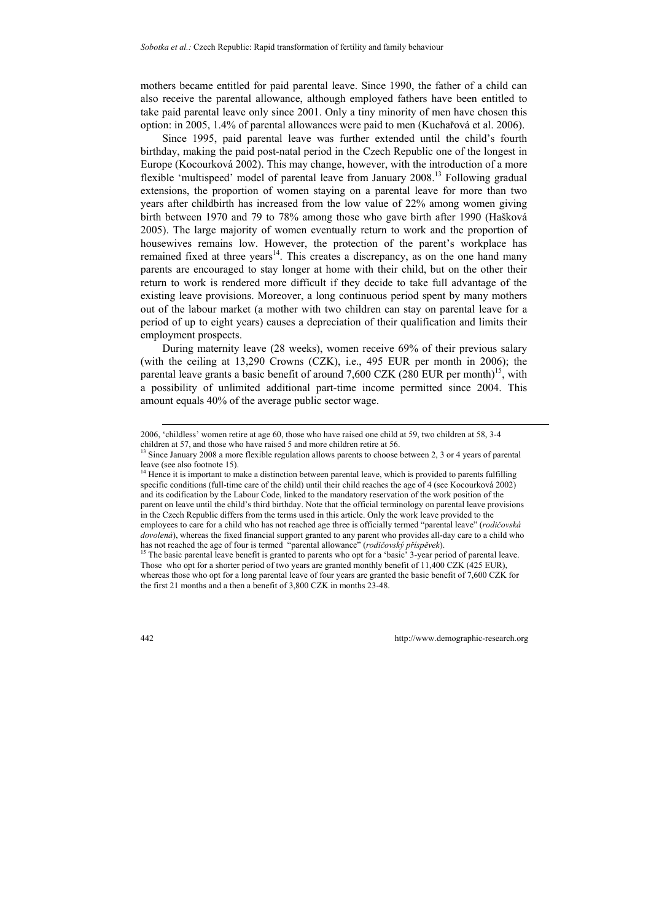mothers became entitled for paid parental leave. Since 1990, the father of a child can also receive the parental allowance, although employed fathers have been entitled to take paid parental leave only since 2001. Only a tiny minority of men have chosen this option: in 2005, 1.4% of parental allowances were paid to men (Kuchařová et al. 2006).

Since 1995, paid parental leave was further extended until the child's fourth birthday, making the paid post-natal period in the Czech Republic one of the longest in Europe (Kocourková 2002). This may change, however, with the introduction of a more flexible 'multispeed' model of parental leave from January 2008.13 Following gradual extensions, the proportion of women staying on a parental leave for more than two years after childbirth has increased from the low value of 22% among women giving birth between 1970 and 79 to 78% among those who gave birth after 1990 (Hašková 2005). The large majority of women eventually return to work and the proportion of housewives remains low. However, the protection of the parent's workplace has remained fixed at three years<sup>14</sup>. This creates a discrepancy, as on the one hand many parents are encouraged to stay longer at home with their child, but on the other their return to work is rendered more difficult if they decide to take full advantage of the existing leave provisions. Moreover, a long continuous period spent by many mothers out of the labour market (a mother with two children can stay on parental leave for a period of up to eight years) causes a depreciation of their qualification and limits their employment prospects.

During maternity leave (28 weeks), women receive 69% of their previous salary (with the ceiling at 13,290 Crowns (CZK), i.e., 495 EUR per month in 2006); the parental leave grants a basic benefit of around 7,600 CZK (280 EUR per month)<sup>15</sup>, with a possibility of unlimited additional part-time income permitted since 2004. This amount equals 40% of the average public sector wage.

 <sup>2006, &#</sup>x27;childless' women retire at age 60, those who have raised one child at 59, two children at 58, 3-4 children at 57, and those who have raised 5 and more children retire at 56.

<sup>&</sup>lt;sup>13</sup> Since January 2008 a more flexible regulation allows parents to choose between 2, 3 or 4 years of parental leave (see also footnote 15).

 $14$  Hence it is important to make a distinction between parental leave, which is provided to parents fulfilling specific conditions (full-time care of the child) until their child reaches the age of 4 (see Kocourková 2002) and its codification by the Labour Code, linked to the mandatory reservation of the work position of the parent on leave until the child's third birthday. Note that the official terminology on parental leave provisions in the Czech Republic differs from the terms used in this article. Only the work leave provided to the employees to care for a child who has not reached age three is officially termed "parental leave" (*rodičovská dovolená*), whereas the fixed financial support granted to any parent who provides all-day care to a child who has not reached the age of four is termed "parental allowance" (*rodičovský příspěvek*).

<sup>&</sup>lt;sup>15</sup> The basic parental leave benefit is granted to parents who opt for a 'basic' 3-year period of parental leave. Those who opt for a shorter period of two years are granted monthly benefit of 11,400 CZK (425 EUR), whereas those who opt for a long parental leave of four years are granted the basic benefit of 7,600 CZK for the first 21 months and a then a benefit of 3,800 CZK in months 23-48.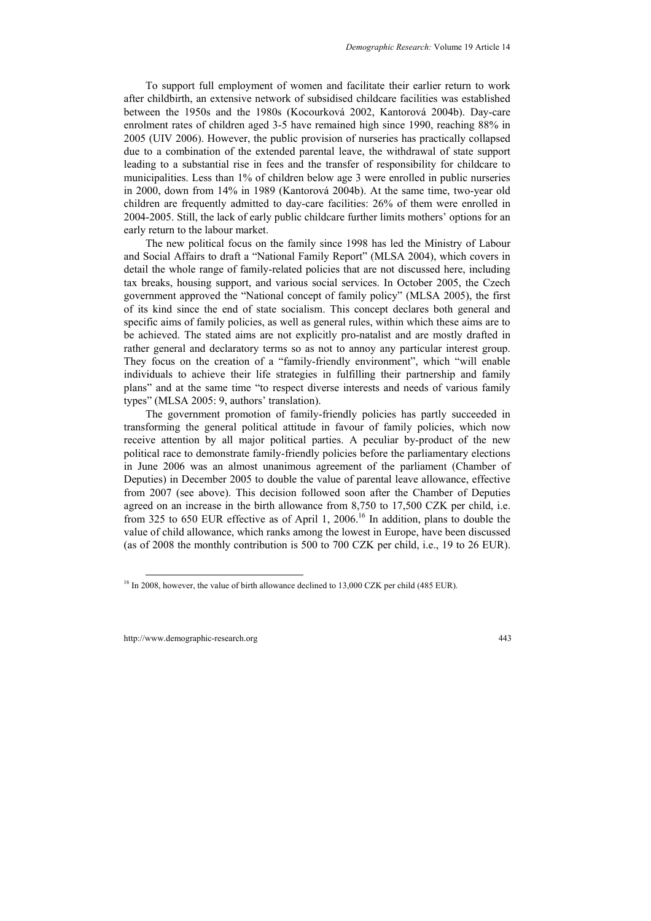To support full employment of women and facilitate their earlier return to work after childbirth, an extensive network of subsidised childcare facilities was established between the 1950s and the 1980s (Kocourková 2002, Kantorová 2004b). Day-care enrolment rates of children aged 3-5 have remained high since 1990, reaching 88% in 2005 (UIV 2006). However, the public provision of nurseries has practically collapsed due to a combination of the extended parental leave, the withdrawal of state support leading to a substantial rise in fees and the transfer of responsibility for childcare to municipalities. Less than 1% of children below age 3 were enrolled in public nurseries in 2000, down from 14% in 1989 (Kantorová 2004b). At the same time, two-year old children are frequently admitted to day-care facilities: 26% of them were enrolled in 2004-2005. Still, the lack of early public childcare further limits mothers' options for an early return to the labour market.

The new political focus on the family since 1998 has led the Ministry of Labour and Social Affairs to draft a "National Family Report" (MLSA 2004), which covers in detail the whole range of family-related policies that are not discussed here, including tax breaks, housing support, and various social services. In October 2005, the Czech government approved the "National concept of family policy" (MLSA 2005), the first of its kind since the end of state socialism. This concept declares both general and specific aims of family policies, as well as general rules, within which these aims are to be achieved. The stated aims are not explicitly pro-natalist and are mostly drafted in rather general and declaratory terms so as not to annoy any particular interest group. They focus on the creation of a "family-friendly environment", which "will enable individuals to achieve their life strategies in fulfilling their partnership and family plans" and at the same time "to respect diverse interests and needs of various family types" (MLSA 2005: 9, authors' translation).

The government promotion of family-friendly policies has partly succeeded in transforming the general political attitude in favour of family policies, which now receive attention by all major political parties. A peculiar by-product of the new political race to demonstrate family-friendly policies before the parliamentary elections in June 2006 was an almost unanimous agreement of the parliament (Chamber of Deputies) in December 2005 to double the value of parental leave allowance, effective from 2007 (see above). This decision followed soon after the Chamber of Deputies agreed on an increase in the birth allowance from 8,750 to 17,500 CZK per child, i.e. from 325 to 650 EUR effective as of April 1, 2006.16 In addition, plans to double the value of child allowance, which ranks among the lowest in Europe, have been discussed (as of 2008 the monthly contribution is 500 to 700 CZK per child, i.e., 19 to 26 EUR).

<sup>&</sup>lt;sup>16</sup> In 2008, however, the value of birth allowance declined to 13,000 CZK per child (485 EUR).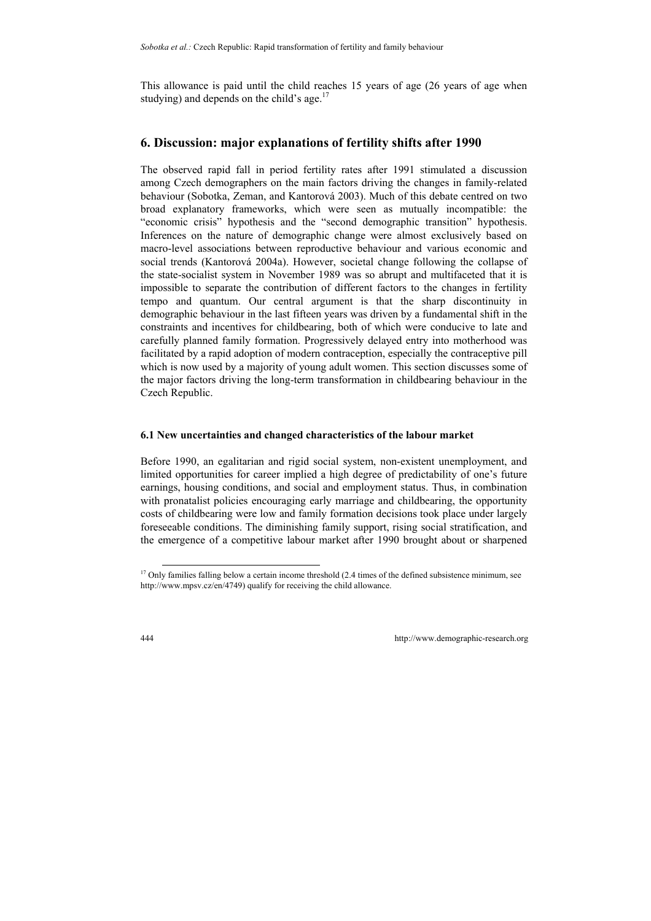This allowance is paid until the child reaches 15 years of age (26 years of age when studying) and depends on the child's age. $17$ 

# **6. Discussion: major explanations of fertility shifts after 1990**

The observed rapid fall in period fertility rates after 1991 stimulated a discussion among Czech demographers on the main factors driving the changes in family-related behaviour (Sobotka, Zeman, and Kantorová 2003). Much of this debate centred on two broad explanatory frameworks, which were seen as mutually incompatible: the "economic crisis" hypothesis and the "second demographic transition" hypothesis. Inferences on the nature of demographic change were almost exclusively based on macro-level associations between reproductive behaviour and various economic and social trends (Kantorová 2004a). However, societal change following the collapse of the state-socialist system in November 1989 was so abrupt and multifaceted that it is impossible to separate the contribution of different factors to the changes in fertility tempo and quantum. Our central argument is that the sharp discontinuity in demographic behaviour in the last fifteen years was driven by a fundamental shift in the constraints and incentives for childbearing, both of which were conducive to late and carefully planned family formation. Progressively delayed entry into motherhood was facilitated by a rapid adoption of modern contraception, especially the contraceptive pill which is now used by a majority of young adult women. This section discusses some of the major factors driving the long-term transformation in childbearing behaviour in the Czech Republic.

### **6.1 New uncertainties and changed characteristics of the labour market**

Before 1990, an egalitarian and rigid social system, non-existent unemployment, and limited opportunities for career implied a high degree of predictability of one's future earnings, housing conditions, and social and employment status. Thus, in combination with pronatalist policies encouraging early marriage and childbearing, the opportunity costs of childbearing were low and family formation decisions took place under largely foreseeable conditions. The diminishing family support, rising social stratification, and the emergence of a competitive labour market after 1990 brought about or sharpened

 $17$  Only families falling below a certain income threshold (2.4 times of the defined subsistence minimum, see http://www.mpsv.cz/en/4749) qualify for receiving the child allowance.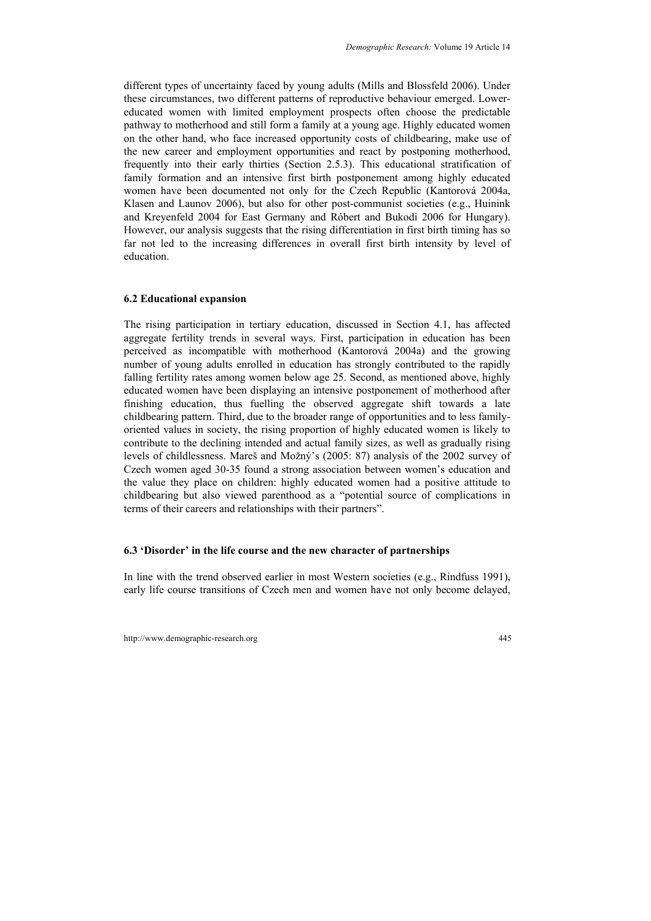different types of uncertainty faced by young adults (Mills and Blossfeld 2006). Under these circumstances, two different patterns of reproductive behaviour emerged. Lowereducated women with limited employment prospects often choose the predictable pathway to motherhood and still form a family at a young age. Highly educated women on the other hand, who face increased opportunity costs of childbearing, make use of the new career and employment opportunities and react by postponing motherhood, frequently into their early thirties (Section 2.5.3). This educational stratification of family formation and an intensive first birth postponement among highly educated women have been documented not only for the Czech Republic (Kantorová 2004a, Klasen and Launov 2006), but also for other post-communist societies (e.g., Huinink and Kreyenfeld 2004 for East Germany and Róbert and Bukodi 2006 for Hungary). However, our analysis suggests that the rising differentiation in first birth timing has so far not led to the increasing differences in overall first birth intensity by level of education.

#### **6.2 Educational expansion**

The rising participation in tertiary education, discussed in Section 4.1, has affected aggregate fertility trends in several ways. First, participation in education has been perceived as incompatible with motherhood (Kantorová 2004a) and the growing number of young adults enrolled in education has strongly contributed to the rapidly falling fertility rates among women below age 25. Second, as mentioned above, highly educated women have been displaying an intensive postponement of motherhood after finishing education, thus fuelling the observed aggregate shift towards a late childbearing pattern. Third, due to the broader range of opportunities and to less familyoriented values in society, the rising proportion of highly educated women is likely to contribute to the declining intended and actual family sizes, as well as gradually rising levels of childlessness. Mareš and Možný's (2005: 87) analysis of the 2002 survey of Czech women aged 30-35 found a strong association between women's education and the value they place on children: highly educated women had a positive attitude to childbearing but also viewed parenthood as a "potential source of complications in terms of their careers and relationships with their partners".

#### **6.3 'Disorder' in the life course and the new character of partnerships**

In line with the trend observed earlier in most Western societies (e.g., Rindfuss 1991), early life course transitions of Czech men and women have not only become delayed,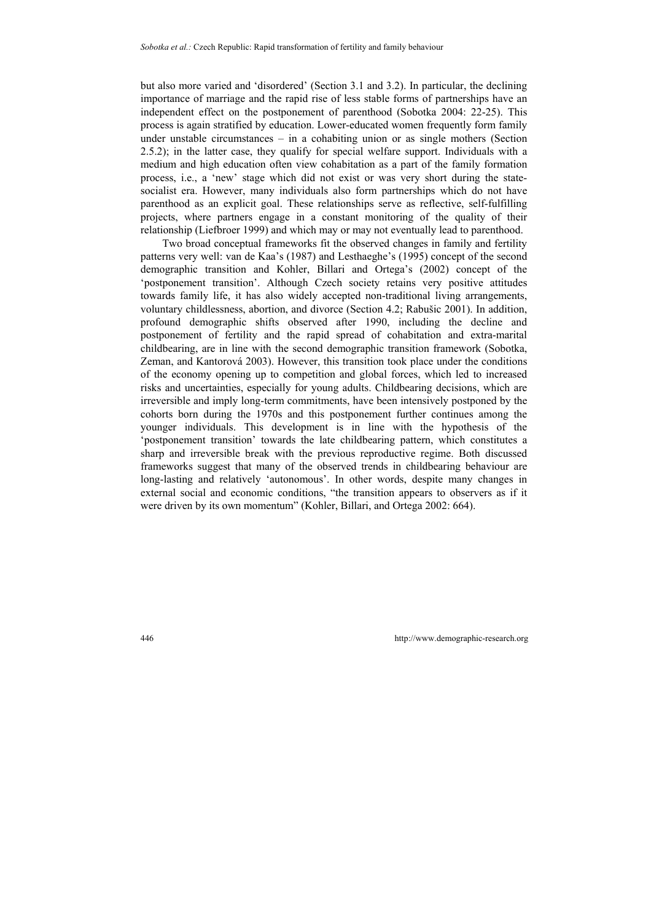but also more varied and 'disordered' (Section 3.1 and 3.2). In particular, the declining importance of marriage and the rapid rise of less stable forms of partnerships have an independent effect on the postponement of parenthood (Sobotka 2004: 22-25). This process is again stratified by education. Lower-educated women frequently form family under unstable circumstances – in a cohabiting union or as single mothers (Section 2.5.2); in the latter case, they qualify for special welfare support. Individuals with a medium and high education often view cohabitation as a part of the family formation process, i.e., a 'new' stage which did not exist or was very short during the statesocialist era. However, many individuals also form partnerships which do not have parenthood as an explicit goal. These relationships serve as reflective, self-fulfilling projects, where partners engage in a constant monitoring of the quality of their relationship (Liefbroer 1999) and which may or may not eventually lead to parenthood.

Two broad conceptual frameworks fit the observed changes in family and fertility patterns very well: van de Kaa's (1987) and Lesthaeghe's (1995) concept of the second demographic transition and Kohler, Billari and Ortega's (2002) concept of the 'postponement transition'. Although Czech society retains very positive attitudes towards family life, it has also widely accepted non-traditional living arrangements, voluntary childlessness, abortion, and divorce (Section 4.2; Rabušic 2001). In addition, profound demographic shifts observed after 1990, including the decline and postponement of fertility and the rapid spread of cohabitation and extra-marital childbearing, are in line with the second demographic transition framework (Sobotka, Zeman, and Kantorová 2003). However, this transition took place under the conditions of the economy opening up to competition and global forces, which led to increased risks and uncertainties, especially for young adults. Childbearing decisions, which are irreversible and imply long-term commitments, have been intensively postponed by the cohorts born during the 1970s and this postponement further continues among the younger individuals. This development is in line with the hypothesis of the 'postponement transition' towards the late childbearing pattern, which constitutes a sharp and irreversible break with the previous reproductive regime. Both discussed frameworks suggest that many of the observed trends in childbearing behaviour are long-lasting and relatively 'autonomous'. In other words, despite many changes in external social and economic conditions, "the transition appears to observers as if it were driven by its own momentum" (Kohler, Billari, and Ortega 2002: 664).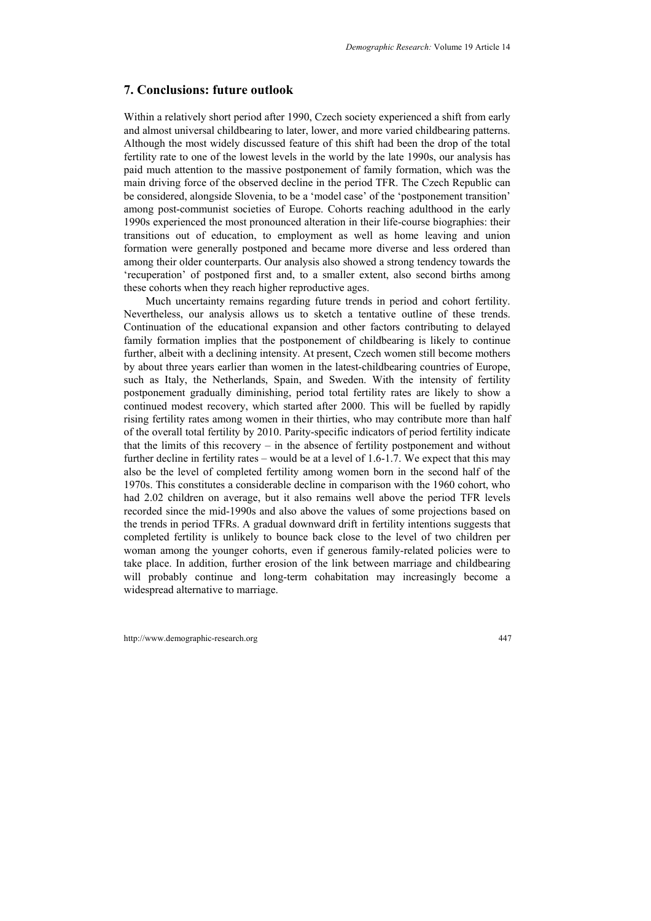### **7. Conclusions: future outlook**

Within a relatively short period after 1990, Czech society experienced a shift from early and almost universal childbearing to later, lower, and more varied childbearing patterns. Although the most widely discussed feature of this shift had been the drop of the total fertility rate to one of the lowest levels in the world by the late 1990s, our analysis has paid much attention to the massive postponement of family formation, which was the main driving force of the observed decline in the period TFR. The Czech Republic can be considered, alongside Slovenia, to be a 'model case' of the 'postponement transition' among post-communist societies of Europe. Cohorts reaching adulthood in the early 1990s experienced the most pronounced alteration in their life-course biographies: their transitions out of education, to employment as well as home leaving and union formation were generally postponed and became more diverse and less ordered than among their older counterparts. Our analysis also showed a strong tendency towards the 'recuperation' of postponed first and, to a smaller extent, also second births among these cohorts when they reach higher reproductive ages.

Much uncertainty remains regarding future trends in period and cohort fertility. Nevertheless, our analysis allows us to sketch a tentative outline of these trends. Continuation of the educational expansion and other factors contributing to delayed family formation implies that the postponement of childbearing is likely to continue further, albeit with a declining intensity. At present, Czech women still become mothers by about three years earlier than women in the latest-childbearing countries of Europe, such as Italy, the Netherlands, Spain, and Sweden. With the intensity of fertility postponement gradually diminishing, period total fertility rates are likely to show a continued modest recovery, which started after 2000. This will be fuelled by rapidly rising fertility rates among women in their thirties, who may contribute more than half of the overall total fertility by 2010. Parity-specific indicators of period fertility indicate that the limits of this recovery – in the absence of fertility postponement and without further decline in fertility rates – would be at a level of 1.6-1.7. We expect that this may also be the level of completed fertility among women born in the second half of the 1970s. This constitutes a considerable decline in comparison with the 1960 cohort, who had 2.02 children on average, but it also remains well above the period TFR levels recorded since the mid-1990s and also above the values of some projections based on the trends in period TFRs. A gradual downward drift in fertility intentions suggests that completed fertility is unlikely to bounce back close to the level of two children per woman among the younger cohorts, even if generous family-related policies were to take place. In addition, further erosion of the link between marriage and childbearing will probably continue and long-term cohabitation may increasingly become a widespread alternative to marriage.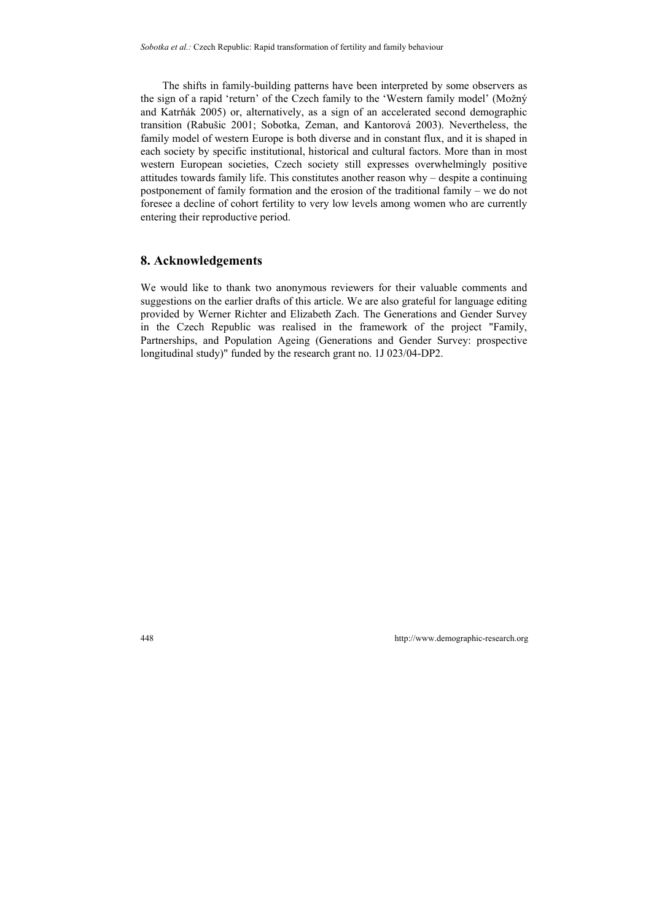The shifts in family-building patterns have been interpreted by some observers as the sign of a rapid 'return' of the Czech family to the 'Western family model' (Možný and Katrňák 2005) or, alternatively, as a sign of an accelerated second demographic transition (Rabušic 2001; Sobotka, Zeman, and Kantorová 2003). Nevertheless, the family model of western Europe is both diverse and in constant flux, and it is shaped in each society by specific institutional, historical and cultural factors. More than in most western European societies, Czech society still expresses overwhelmingly positive attitudes towards family life. This constitutes another reason why – despite a continuing postponement of family formation and the erosion of the traditional family – we do not foresee a decline of cohort fertility to very low levels among women who are currently entering their reproductive period.

### **8. Acknowledgements**

We would like to thank two anonymous reviewers for their valuable comments and suggestions on the earlier drafts of this article. We are also grateful for language editing provided by Werner Richter and Elizabeth Zach. The Generations and Gender Survey in the Czech Republic was realised in the framework of the project "Family, Partnerships, and Population Ageing (Generations and Gender Survey: prospective longitudinal study)" funded by the research grant no. 1J 023/04-DP2.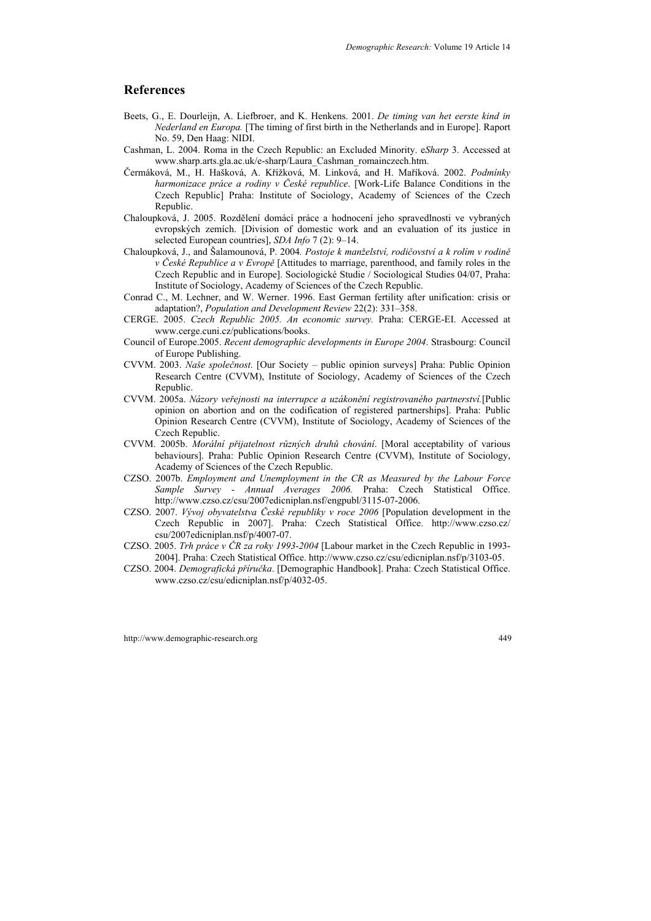### **References**

- Beets, G., E. Dourleijn, A. Liefbroer, and K. Henkens. 2001. *De timing van het eerste kind in Nederland en Europa.* [The timing of first birth in the Netherlands and in Europe]. Raport No. 59, Den Haag: NIDI.
- Cashman, L. 2004. Roma in the Czech Republic: an Excluded Minority. e*Sharp* 3. Accessed at www.sharp.arts.gla.ac.uk/e-sharp/Laura\_Cashman\_romainczech.htm.
- Čermáková, M., H. Hašková, A. Křížková, M. Linková, and H. Maříková. 2002. *Podmínky harmonizace práce a rodiny v České republice*. [Work-Life Balance Conditions in the Czech Republic] Praha: Institute of Sociology, Academy of Sciences of the Czech Republic.
- Chaloupková, J. 2005. Rozdělení domácí práce a hodnocení jeho spravedlnosti ve vybraných evropských zemích. [Division of domestic work and an evaluation of its justice in selected European countries], *SDA Info* 7 (2): 9–14.
- Chaloupková, J., and Šalamounová, P. 2004*. Postoje k manželství, rodičovství a k rolím v rodině v České Republice a v Evropě* [Attitudes to marriage, parenthood, and family roles in the Czech Republic and in Europe]. Sociologické Studie / Sociological Studies 04/07, Praha: Institute of Sociology, Academy of Sciences of the Czech Republic.
- Conrad C., M. Lechner, and W. Werner. 1996. East German fertility after unification: crisis or adaptation?, *Population and Development Review* 22(2): 331–358.
- CERGE. 2005. *Czech Republic 2005. An economic survey.* Praha: CERGE-EI. Accessed at www.cerge.cuni.cz/publications/books.
- Council of Europe.2005. *Recent demographic developments in Europe 2004*. Strasbourg: Council of Europe Publishing.
- CVVM. 2003. *Naše společnost*. [Our Society public opinion surveys] Praha: Public Opinion Research Centre (CVVM), Institute of Sociology, Academy of Sciences of the Czech Republic.
- CVVM. 2005a. *Názory veřejnosti na interrupce a uzákonění registrovaného partnerství.*[Public opinion on abortion and on the codification of registered partnerships]. Praha: Public Opinion Research Centre (CVVM), Institute of Sociology, Academy of Sciences of the Czech Republic.
- CVVM. 2005b. *Morální přijatelnost různých druhů chování*. [Moral acceptability of various behaviours]. Praha: Public Opinion Research Centre (CVVM), Institute of Sociology, Academy of Sciences of the Czech Republic.
- CZSO. 2007b. *Employment and Unemployment in the CR as Measured by the Labour Force Sample Survey - Annual Averages 2006.* Praha: Czech Statistical Office. http://www.czso.cz/csu/2007edicniplan.nsf/engpubl/3115-07-2006.
- CZSO. 2007. *Vývoj obyvatelstva České republiky v roce 2006* [Population development in the Czech Republic in 2007]. Praha: Czech Statistical Office. http://www.czso.cz/ csu/2007edicniplan.nsf/p/4007-07.
- CZSO. 2005. *Trh práce v ČR za roky 1993-2004* [Labour market in the Czech Republic in 1993- 2004]. Praha: Czech Statistical Office. http://www.czso.cz/csu/edicniplan.nsf/p/3103-05.
- CZSO. 2004. *Demografická příručka*. [Demographic Handbook]. Praha: Czech Statistical Office. www.czso.cz/csu/edicniplan.nsf/p/4032-05.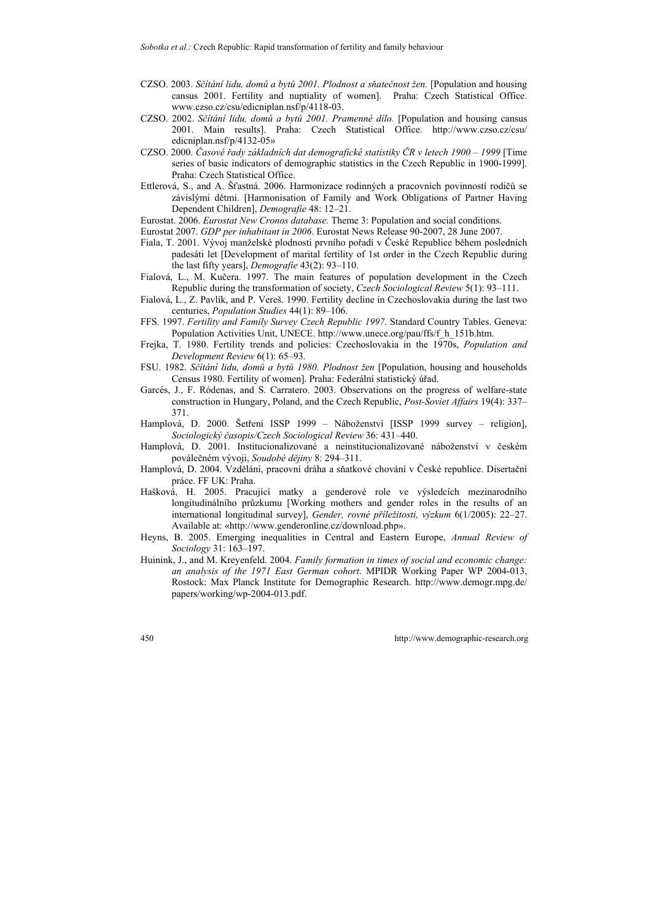- CZSO. 2003. *Sčítání lidu, domů a bytů 2001. Plodnost a sňatečnost žen.* [Population and housing cansus 2001. Fertility and nuptiality of women]. Praha: Czech Statistical Office. www.czso.cz/csu/edicniplan.nsf/p/4118-03.
- CZSO. 2002. *Sčítání lidu, domů a bytů 2001. Pramenné dílo.* [Population and housing cansus 2001. Main results]. Praha: Czech Statistical Office. http://www.czso.cz/csu/ edicniplan.nsf/p/4132-05»
- CZSO. 2000. *Časové řady základních dat demografické statistiky ČR v letech 1900 1999* [Time series of basic indicators of demographic statistics in the Czech Republic in 1900-1999]. Praha: Czech Statistical Office.
- Ettlerová, S., and A. Šťastná. 2006. Harmonizace rodinných a pracovních povinností rodičů se závislými dětmi. [Harmonisation of Family and Work Obligations of Partner Having Dependent Children], *Demografie* 48: 12–21.
- Eurostat. 2006. *Eurostat New Cronos database.* Theme 3: Population and social conditions.
- Eurostat 2007. *GDP per inhabitant in 2006*. Eurostat News Release 90-2007, 28 June 2007.
- Fiala, T. 2001. Vývoj manželské plodnosti prvního pořadí v České Republice během posledních padesáti let [Development of marital fertility of 1st order in the Czech Republic during the last fifty years], *Demografie* 43(2): 93–110.
- Fialová, L., M. Kučera. 1997. The main features of population development in the Czech Republic during the transformation of society, *Czech Sociological Review* 5(1): 93–111.
- Fialová, L., Z. Pavlík, and P. Vereš. 1990. Fertility decline in Czechoslovakia during the last two centuries, *Population Studies* 44(1): 89–106.
- FFS. 1997. *Fertility and Family Survey Czech Republic 1997*. Standard Country Tables. Geneva: Population Activities Unit, UNECE. http://www.unece.org/pau/ffs/f\_h\_151b.htm.
- Frejka, T. 1980. Fertility trends and policies: Czechoslovakia in the 1970s, *Population and Development Review* 6(1): 65–93.
- FSU. 1982. *Sčítání lidu, domů a bytů 1980. Plodnost žen* [Population, housing and households Census 1980. Fertility of women]. Praha: Federální statistický úřad.
- Garcés, J., F. Ródenas, and S. Carratero. 2003. Observations on the progress of welfare-state construction in Hungary, Poland, and the Czech Republic, *Post-Soviet Affairs* 19(4): 337– 371.
- Hamplová, D. 2000. Šetření ISSP 1999 Náboženství [ISSP 1999 survey religion], *Sociologický časopis/Czech Sociological Review* 36: 431–440.
- Hamplová, D. 2001. Institucionalizované a neinstitucionalizované náboženství v českém poválečném vývoji, *Soudobé dějiny* 8: 294–311.
- Hamplová, D. 2004. Vzdělání, pracovní dráha a sňatkové chování v České republice. Disertační práce. FF UK: Praha.
- Hašková, H. 2005. Pracující matky a genderové role ve výsledcích mezinarodního longitudinálního průzkumu [Working mothers and gender roles in the results of an international longitudinal survey], *Gender, rovné příležitosti, výzkum* 6(1/2005): 22–27. Available at: «http://www.genderonline.cz/download.php».
- Heyns, B. 2005. Emerging inequalities in Central and Eastern Europe, *Annual Review of Sociology* 31: 163–197.
- Huinink, J., and M. Kreyenfeld. 2004. *Family formation in times of social and economic change: an analysis of the 1971 East German cohort*. MPIDR Working Paper WP 2004-013, Rostock: Max Planck Institute for Demographic Research. http://www.demogr.mpg.de/ papers/working/wp-2004-013.pdf.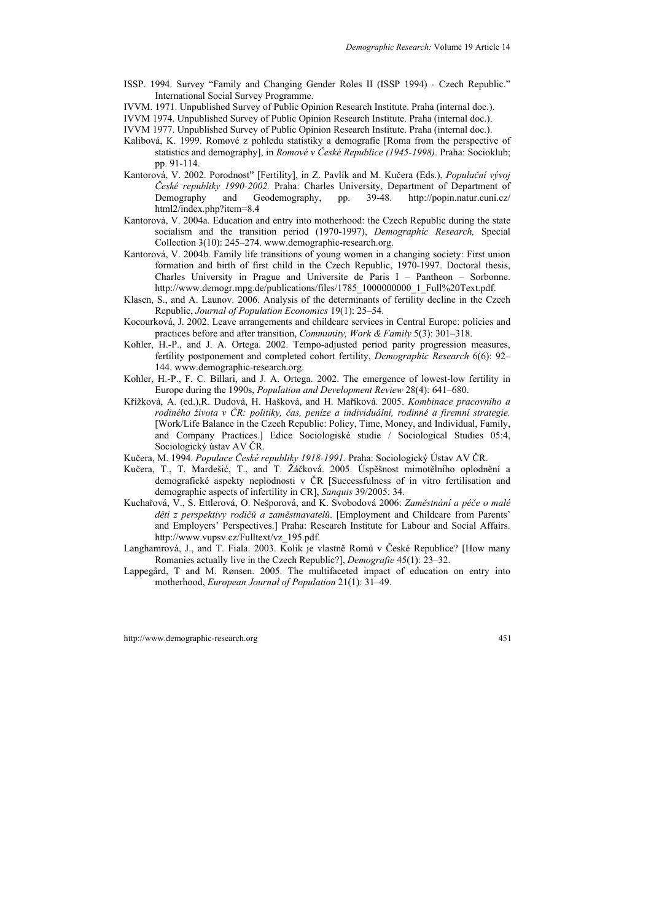- ISSP. 1994. Survey "Family and Changing Gender Roles II (ISSP 1994) Czech Republic." International Social Survey Programme.
- IVVM. 1971. Unpublished Survey of Public Opinion Research Institute. Praha (internal doc.).
- IVVM 1974. Unpublished Survey of Public Opinion Research Institute. Praha (internal doc.).
- IVVM 1977. Unpublished Survey of Public Opinion Research Institute. Praha (internal doc.).
- Kalibová, K. 1999. Romové z pohledu statistiky a demografie [Roma from the perspective of statistics and demography], in *Romové v České Republice (1945-1998)*. Praha: Socioklub; pp. 91-114.
- Kantorová, V. 2002. Porodnost" [Fertility], in Z. Pavlík and M. Kučera (Eds.), *Populační vývoj České republiky 1990-2002.* Praha: Charles University, Department of Department of Demography and Geodemography, pp. 39-48. http://popin.natur.cuni.cz/ html2/index.php?item=8.4
- Kantorová, V. 2004a. Education and entry into motherhood: the Czech Republic during the state socialism and the transition period (1970-1997), *Demographic Research,* Special Collection 3(10): 245–274. www.demographic-research.org.
- Kantorová, V. 2004b. Family life transitions of young women in a changing society: First union formation and birth of first child in the Czech Republic, 1970-1997. Doctoral thesis, Charles University in Prague and Universite de Paris I – Pantheon – Sorbonne. http://www.demogr.mpg.de/publications/files/1785\_1000000000\_1\_Full%20Text.pdf.
- Klasen, S., and A. Launov. 2006. Analysis of the determinants of fertility decline in the Czech Republic, *Journal of Population Economics* 19(1): 25–54.
- Kocourková, J. 2002. Leave arrangements and childcare services in Central Europe: policies and practices before and after transition, *Community, Work & Family* 5(3): 301–318.
- Kohler, H.-P., and J. A. Ortega. 2002. Tempo-adjusted period parity progression measures, fertility postponement and completed cohort fertility, *Demographic Research* 6(6): 92– 144. www.demographic-research.org.
- Kohler, H.-P., F. C. Billari, and J. A. Ortega. 2002. The emergence of lowest-low fertility in Europe during the 1990s, *Population and Development Review* 28(4): 641–680.
- Křížková, A. (ed.),R. Dudová, H. Hašková, and H. Maříková. 2005. *Kombinace pracovního a rodiného života v ČR: politiky, čas, peníze a individuální, rodinné a firemní strategie.*  [Work/Life Balance in the Czech Republic: Policy, Time, Money, and Individual, Family, and Company Practices.] Edice Sociologiské studie / Sociological Studies 05:4, Sociologický ústav AV ČR.
- Kučera, M. 1994. *Populace České republiky 1918-1991.* Praha: Sociologický Ústav AV ČR.
- Kučera, T., T. Mardešić, T., and T. Žáčková. 2005. Úspěšnost mimotělního oplodnění a demografické aspekty neplodnosti v ČR [Successfulness of in vitro fertilisation and demographic aspects of infertility in CR], *Sanquis* 39/2005: 34.
- Kuchařová, V., S. Ettlerová, O. Nešporová, and K. Svobodová 2006: *Zaměstnání a péče o malé děti z perspektivy rodičů a zaměstnavatelů*. [Employment and Childcare from Parents' and Employers' Perspectives.] Praha: Research Institute for Labour and Social Affairs. http://www.vupsv.cz/Fulltext/vz\_195.pdf.
- Langhamrová, J., and T. Fiala. 2003. Kolik je vlastně Romů v České Republice? [How many Romanies actually live in the Czech Republic?], *Demografie* 45(1): 23–32.
- Lappegård, T and M. Rønsen. 2005. The multifaceted impact of education on entry into motherhood, *European Journal of Population* 21(1): 31–49.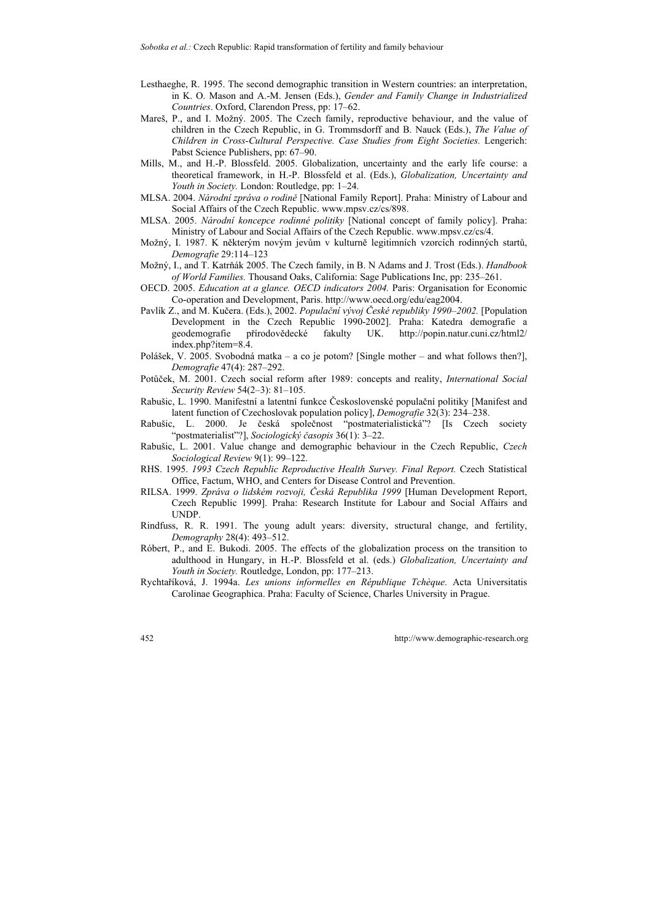- Lesthaeghe, R. 1995. The second demographic transition in Western countries: an interpretation, in K. O. Mason and A.-M. Jensen (Eds.), *Gender and Family Change in Industrialized Countries*. Oxford, Clarendon Press, pp: 17–62.
- Mareš, P., and I. Možný. 2005. The Czech family, reproductive behaviour, and the value of children in the Czech Republic, in G. Trommsdorff and B. Nauck (Eds.), *The Value of Children in Cross-Cultural Perspective. Case Studies from Eight Societies.* Lengerich: Pabst Science Publishers, pp: 67–90.
- Mills, M., and H.-P. Blossfeld. 2005. Globalization, uncertainty and the early life course: a theoretical framework, in H.-P. Blossfeld et al. (Eds.), *Globalization, Uncertainty and Youth in Society.* London: Routledge, pp: 1–24.
- MLSA. 2004. *Národní zpráva o rodině* [National Family Report]. Praha: Ministry of Labour and Social Affairs of the Czech Republic. www.mpsv.cz/cs/898.
- MLSA. 2005. *Národní koncepce rodinné politiky* [National concept of family policy]. Praha: Ministry of Labour and Social Affairs of the Czech Republic. www.mpsv.cz/cs/4.
- Možný, I. 1987. K některým novým jevům v kulturně legitimních vzorcích rodinných startů, *Demografie* 29:114–123
- Možný, I., and T. Katrňák 2005. The Czech family, in B. N Adams and J. Trost (Eds.). *Handbook of World Families.* Thousand Oaks, California: Sage Publications Inc, pp: 235–261.
- OECD. 2005. *Education at a glance. OECD indicators 2004.* Paris: Organisation for Economic Co-operation and Development, Paris. http://www.oecd.org/edu/eag2004.
- Pavlík Z., and M. Kučera. (Eds.), 2002. *Populační vývoj České republiky 1990–2002.* [Population Development in the Czech Republic 1990-2002]. Praha: Katedra demografie a geodemografie přírodovědecké fakulty UK. http://popin.natur.cuni.cz/html2/ index.php?item=8.4.
- Polášek, V. 2005. Svobodná matka a co je potom? [Single mother and what follows then?], *Demografie* 47(4): 287–292.
- Potůček, M. 2001. Czech social reform after 1989: concepts and reality, *International Social Security Review* 54(2–3): 81–105.
- Rabušic, L. 1990. Manifestní a latentní funkce Československé populační politiky [Manifest and latent function of Czechoslovak population policy], *Demografie* 32(3): 234–238.
- Rabušic, L. 2000. Je česká společnost "postmaterialistická"? [Is Czech society "postmaterialist"?], *Sociologický časopis* 36(1): 3–22.
- Rabušic, L. 2001. Value change and demographic behaviour in the Czech Republic, *Czech Sociological Review* 9(1): 99–122.
- RHS. 1995. *1993 Czech Republic Reproductive Health Survey. Final Report.* Czech Statistical Office, Factum, WHO, and Centers for Disease Control and Prevention.
- RILSA. 1999. *Zpráva o lidském rozvoji, Česká Republika 1999* [Human Development Report, Czech Republic 1999]. Praha: Research Institute for Labour and Social Affairs and UNDP.
- Rindfuss, R. R. 1991. The young adult years: diversity, structural change, and fertility, *Demography* 28(4): 493–512.
- Róbert, P., and E. Bukodi. 2005. The effects of the globalization process on the transition to adulthood in Hungary, in H.-P. Blossfeld et al. (eds.) *Globalization, Uncertainty and Youth in Society.* Routledge, London, pp: 177–213.
- Rychtaříková, J. 1994a. *Les unions informelles en République Tchèque*. Acta Universitatis Carolinae Geographica. Praha: Faculty of Science, Charles University in Prague.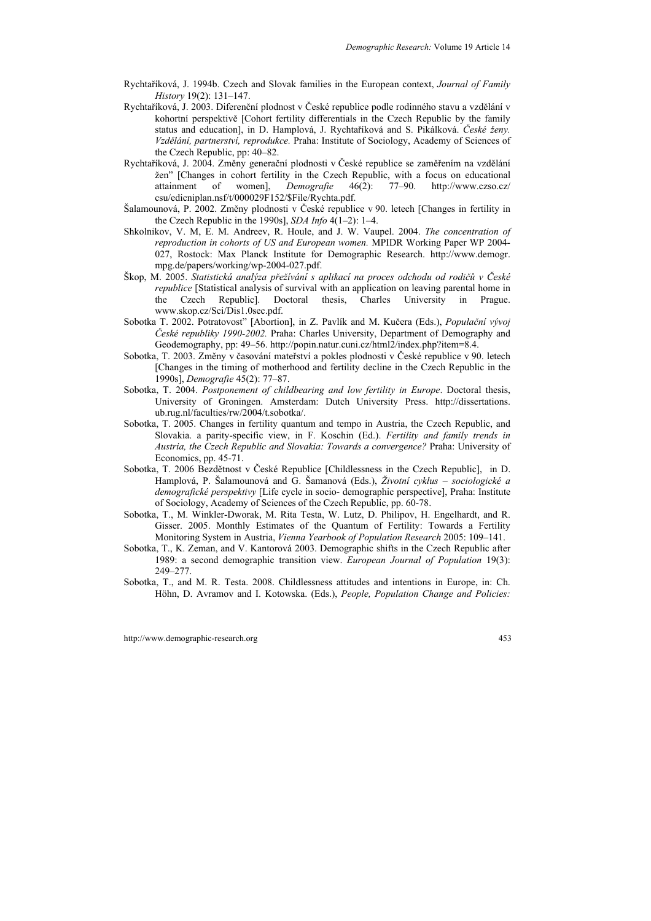- Rychtaříková, J. 1994b. Czech and Slovak families in the European context, *Journal of Family History* 19(2): 131–147.
- Rychtaříková, J. 2003. Diferenční plodnost v České republice podle rodinného stavu a vzdělání v kohortní perspektivě [Cohort fertility differentials in the Czech Republic by the family status and education], in D. Hamplová, J. Rychtaříková and S. Pikálková. *České ženy. Vzdělání, partnerství, reprodukce.* Praha: Institute of Sociology, Academy of Sciences of the Czech Republic, pp: 40–82.
- Rychtaříková, J. 2004. Změny generační plodnosti v České republice se zaměřením na vzdělání žen" [Changes in cohort fertility in the Czech Republic, with a focus on educational attainment of women], *Demografie* 46(2): 77–90. http://www.czso.cz/ csu/edicniplan.nsf/t/000029F152/\$File/Rychta.pdf.
- Šalamounová, P. 2002. Změny plodnosti v České republice v 90. letech [Changes in fertility in the Czech Republic in the 1990s], *SDA Info* 4(1–2): 1–4.
- Shkolnikov, V. M, E. M. Andreev, R. Houle, and J. W. Vaupel. 2004. *The concentration of reproduction in cohorts of US and European women.* MPIDR Working Paper WP 2004- 027, Rostock: Max Planck Institute for Demographic Research. http://www.demogr. mpg.de/papers/working/wp-2004-027.pdf.
- Škop, M. 2005. *Statistická analýza přežívání s aplikací na proces odchodu od rodičů v České republice* [Statistical analysis of survival with an application on leaving parental home in the Czech Republic]. Doctoral thesis, Charles University in Prague. www.skop.cz/Sci/Dis1.0sec.pdf.
- Sobotka T. 2002. Potratovost" [Abortion], in Z. Pavlík and M. Kučera (Eds.), *Populační vývoj České republiky 1990-2002.* Praha: Charles University, Department of Demography and Geodemography, pp: 49–56. http://popin.natur.cuni.cz/html2/index.php?item=8.4.
- Sobotka, T. 2003. Změny v časování mateřství a pokles plodnosti v České republice v 90. letech [Changes in the timing of motherhood and fertility decline in the Czech Republic in the 1990s], *Demografie* 45(2): 77–87.
- Sobotka, T. 2004. *Postponement of childbearing and low fertility in Europe*. Doctoral thesis, University of Groningen. Amsterdam: Dutch University Press. http://dissertations. ub.rug.nl/faculties/rw/2004/t.sobotka/.
- Sobotka, T. 2005. Changes in fertility quantum and tempo in Austria, the Czech Republic, and Slovakia. a parity-specific view, in F. Koschin (Ed.). *Fertility and family trends in Austria, the Czech Republic and Slovakia: Towards a convergence?* Praha: University of Economics, pp. 45-71.
- Sobotka, T. 2006 Bezdětnost v České Republice [Childlessness in the Czech Republic], in D. Hamplová, P. Šalamounová and G. Šamanová (Eds.), *Životní cyklus – sociologické a demografické perspektivy* [Life cycle in socio- demographic perspective], Praha: Institute of Sociology, Academy of Sciences of the Czech Republic, pp. 60-78.
- Sobotka, T., M. Winkler-Dworak, M. Rita Testa, W. Lutz, D. Philipov, H. Engelhardt, and R. Gisser. 2005. Monthly Estimates of the Quantum of Fertility: Towards a Fertility Monitoring System in Austria, *Vienna Yearbook of Population Research* 2005: 109–141.
- Sobotka, T., K. Zeman, and V. Kantorová 2003. Demographic shifts in the Czech Republic after 1989: a second demographic transition view. *European Journal of Population* 19(3): 249–277.
- Sobotka, T., and M. R. Testa. 2008. Childlessness attitudes and intentions in Europe, in: Ch. Höhn, D. Avramov and I. Kotowska. (Eds.), *People, Population Change and Policies:*